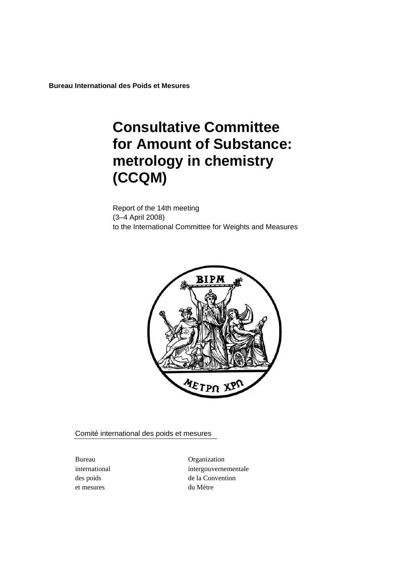**Bureau International des Poids et Mesures** 

# **Consultative Committee for Amount of Substance: metrology in chemistry (CCQM)**

Report of the 14th meeting (3–4 April 2008) to the International Committee for Weights and Measures



Comité international des poids et mesures

et mesures du Mètre

Bureau Organization international intergouvernementale des poids de la Convention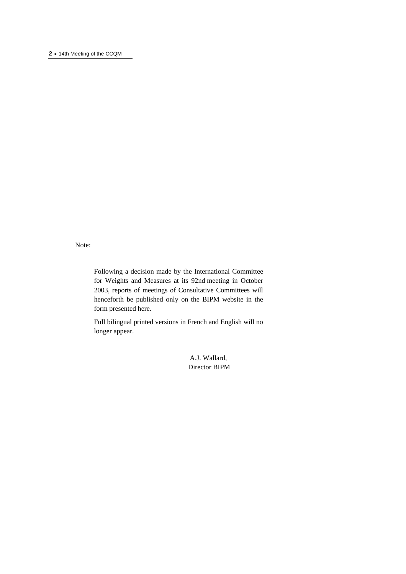#### **2 ·** 14th Meeting of the CCQM

Note:

Following a decision made by the International Committee for Weights and Measures at its 92nd meeting in October 2003, reports of meetings of Consultative Committees will henceforth be published only on the BIPM website in the form presented here.

Full bilingual printed versions in French and English will no longer appear.

> A.J. Wallard, Director BIPM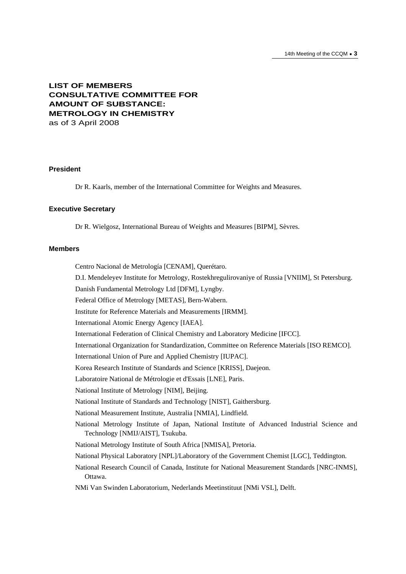# **LIST OF MEMBERS CONSULTATIVE COMMITTEE FOR AMOUNT OF SUBSTANCE: METROLOGY IN CHEMISTRY**  as of 3 April 2008

# **President**

Dr R. Kaarls, member of the International Committee for Weights and Measures.

#### **Executive Secretary**

Dr R. Wielgosz, International Bureau of Weights and Measures [BIPM], Sèvres.

#### **Members**

Centro Nacional de Metrología [CENAM], Querétaro.

D.I. Mendeleyev Institute for Metrology, Rostekhregulirovaniye of Russia [VNIIM], St Petersburg.

Danish Fundamental Metrology Ltd [DFM], Lyngby.

Federal Office of Metrology [METAS], Bern-Wabern.

Institute for Reference Materials and Measurements [IRMM].

International Atomic Energy Agency [IAEA].

International Federation of Clinical Chemistry and Laboratory Medicine [IFCC].

International Organization for Standardization, Committee on Reference Materials [ISO REMCO].

International Union of Pure and Applied Chemistry [IUPAC].

Korea Research Institute of Standards and Science [KRISS], Daejeon.

Laboratoire National de Métrologie et d'Essais [LNE], Paris.

National Institute of Metrology [NIM], Beijing.

National Institute of Standards and Technology [NIST], Gaithersburg.

National Measurement Institute, Australia [NMIA], Lindfield.

National Metrology Institute of Japan, National Institute of Advanced Industrial Science and Technology [NMIJ/AIST], Tsukuba.

National Metrology Institute of South Africa [NMISA], Pretoria.

National Physical Laboratory [NPL]/Laboratory of the Government Chemist [LGC], Teddington.

National Research Council of Canada, Institute for National Measurement Standards [NRC-INMS], Ottawa.

NMi Van Swinden Laboratorium, Nederlands Meetinstituut [NMi VSL], Delft.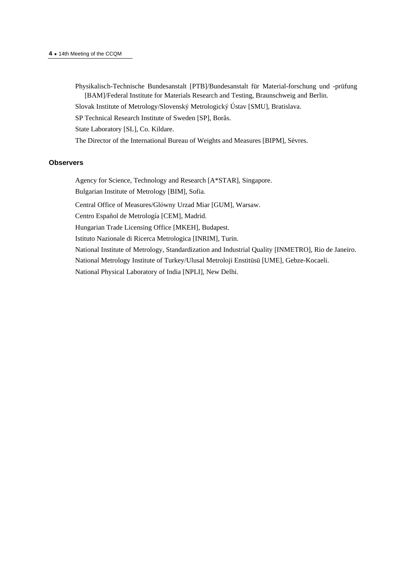#### **4 ·** 14th Meeting of the CCQM

- Physikalisch-Technische Bundesanstalt [PTB]/Bundesanstalt für Material-forschung und -prüfung [BAM]/Federal Institute for Materials Research and Testing, Braunschweig and Berlin.
- Slovak Institute of Metrology/Slovenský Metrologický Ústav [SMU], Bratislava.
- SP Technical Research Institute of Sweden [SP], Borås.

State Laboratory [SL], Co. Kildare.

The Director of the International Bureau of Weights and Measures [BIPM], Sèvres.

#### **Observers**

Agency for Science, Technology and Research [A\*STAR], Singapore.

Bulgarian Institute of Metrology [BIM], Sofia.

Central Office of Measures/Glόwny Urzad Miar [GUM], Warsaw.

Centro Español de Metrología [CEM], Madrid.

Hungarian Trade Licensing Office [MKEH], Budapest.

Istituto Nazionale di Ricerca Metrologica [INRIM], Turin.

National Institute of Metrology, Standardization and Industrial Quality [INMETRO], Rio de Janeiro. National Metrology Institute of Turkey/Ulusal Metroloji Enstitüsü [UME], Gebze-Kocaeli.

National Physical Laboratory of India [NPLI], New Delhi.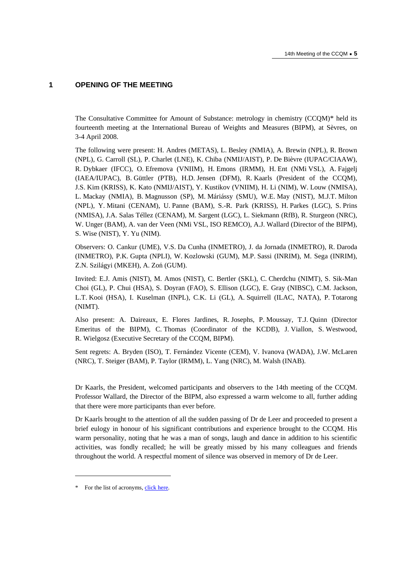# **1 OPENING OF THE MEETING**

The Consultative Committee for Amount of Substance: metrology in chemistry (CCQM)\* held its fourteenth meeting at the International Bureau of Weights and Measures (BIPM), at Sèvres, on 3-4 April 2008.

The following were present: H. Andres (METAS), L. Besley (NMIA), A. Brewin (NPL), R. Brown (NPL), G. Carroll (SL), P. Charlet (LNE), K. Chiba (NMIJ/AIST), P. De Bièvre (IUPAC/CIAAW), R. Dybkaer (IFCC), O. Efremova (VNIIM), H. Emons (IRMM), H. Ent (NMi VSL), A. Fajgelj (IAEA/IUPAC), B. Güttler (PTB), H.D. Jensen (DFM), R. Kaarls (President of the CCQM), J.S. Kim (KRISS), K. Kato (NMIJ/AIST), Y. Kustikov (VNIIM), H. Li (NIM), W. Louw (NMISA), L. Mackay (NMIA), B. Magnusson (SP), M. Máriássy (SMU), W.E. May (NIST), M.J.T. Milton (NPL), Y. Mitani (CENAM), U. Panne (BAM), S.-R. Park (KRISS), H. Parkes (LGC), S. Prins (NMISA), J.A. Salas Téllez (CENAM), M. Sargent (LGC), L. Siekmann (RfB), R. Sturgeon (NRC), W. Unger (BAM), A. van der Veen (NMi VSL, ISO REMCO), A.J. Wallard (Director of the BIPM), S. Wise (NIST), Y. Yu (NIM).

Observers: O. Cankur (UME), V.S. Da Cunha (INMETRO), J. da Jornada (INMETRO), R. Daroda (INMETRO), P.K. Gupta (NPLI), W. Kozlowski (GUM), M.P. Sassi (INRIM), M. Sega (INRIM), Z.N. Szilágyi (MKEH), A. Zoń (GUM).

Invited: E.J. Amis (NIST), M. Amos (NIST), C. Bertler (SKL), C. Cherdchu (NIMT), S. Sik-Man Choi (GL), P. Chui (HSA), S. Doyran (FAO), S. Ellison (LGC), E. Gray (NIBSC), C.M. Jackson, L.T. Kooi (HSA), I. Kuselman (INPL), C.K. Li (GL), A. Squirrell (ILAC, NATA), P. Totarong (NIMT).

Also present: A. Daireaux, E. Flores Jardines, R. Josephs, P. Moussay, T.J. Quinn (Director Emeritus of the BIPM), C. Thomas (Coordinator of the KCDB), J. Viallon, S. Westwood, R. Wielgosz (Executive Secretary of the CCQM, BIPM).

Sent regrets: A. Bryden (ISO), T. Fernández Vicente (CEM), V. Ivanova (WADA), J.W. McLaren (NRC), T. Steiger (BAM), P. Taylor (IRMM), L. Yang (NRC), M. Walsh (INAB).

Dr Kaarls, the President, welcomed participants and observers to the 14th meeting of the CCQM. Professor Wallard, the Director of the BIPM, also expressed a warm welcome to all, further adding that there were more participants than ever before.

Dr Kaarls brought to the attention of all the sudden passing of Dr de Leer and proceeded to present a brief eulogy in honour of his significant contributions and experience brought to the CCQM. His warm personality, noting that he was a man of songs, laugh and dance in addition to his scientific activities, was fondly recalled; he will be greatly missed by his many colleagues and friends throughout the world. A respectful moment of silence was observed in memory of Dr de Leer.

 $\overline{\phantom{a}}$ 

<sup>\*</sup> For the list of acrony[ms, click here.](https://www.bipm.org)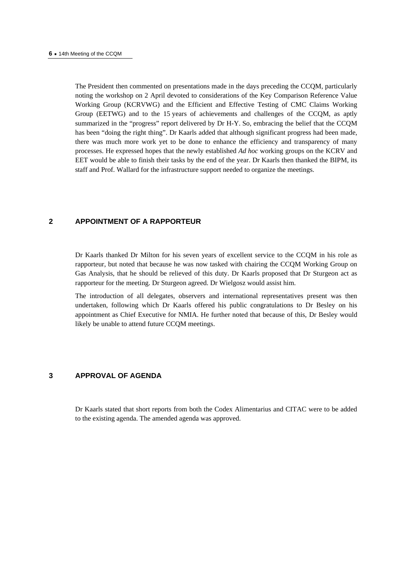The President then commented on presentations made in the days preceding the CCQM, particularly noting the workshop on 2 April devoted to considerations of the Key Comparison Reference Value Working Group (KCRVWG) and the Efficient and Effective Testing of CMC Claims Working Group (EETWG) and to the 15 years of achievements and challenges of the CCQM, as aptly summarized in the "progress" report delivered by Dr H-Y. So, embracing the belief that the CCQM has been "doing the right thing". Dr Kaarls added that although significant progress had been made, there was much more work yet to be done to enhance the efficiency and transparency of many processes. He expressed hopes that the newly established *Ad hoc* working groups on the KCRV and EET would be able to finish their tasks by the end of the year. Dr Kaarls then thanked the BIPM, its staff and Prof. Wallard for the infrastructure support needed to organize the meetings.

# **2 APPOINTMENT OF A RAPPORTEUR**

Dr Kaarls thanked Dr Milton for his seven years of excellent service to the CCQM in his role as rapporteur, but noted that because he was now tasked with chairing the CCQM Working Group on Gas Analysis, that he should be relieved of this duty. Dr Kaarls proposed that Dr Sturgeon act as rapporteur for the meeting. Dr Sturgeon agreed. Dr Wielgosz would assist him.

The introduction of all delegates, observers and international representatives present was then undertaken, following which Dr Kaarls offered his public congratulations to Dr Besley on his appointment as Chief Executive for NMIA. He further noted that because of this, Dr Besley would likely be unable to attend future CCQM meetings.

## **3 APPROVAL OF AGENDA**

Dr Kaarls stated that short reports from both the Codex Alimentarius and CITAC were to be added to the existing agenda. The amended agenda was approved.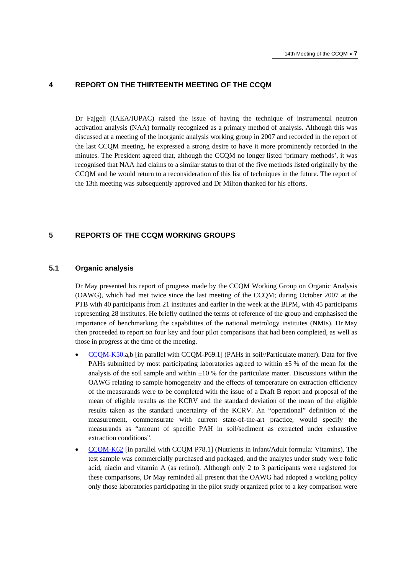## **4 REPORT ON THE THIRTEENTH MEETING OF THE CCQM**

Dr Fajgelj (IAEA/IUPAC) raised the issue of having the technique of instrumental neutron activation analysis (NAA) formally recognized as a primary method of analysis. Although this was discussed at a meeting of the inorganic analysis working group in 2007 and recorded in the report of the last CCQM meeting, he expressed a strong desire to have it more prominently recorded in the minutes. The President agreed that, although the CCQM no longer listed 'primary methods', it was recognised that NAA had claims to a similar status to that of the five methods listed originally by the CCQM and he would return to a reconsideration of this list of techniques in the future. The report of the 13th meeting was subsequently approved and Dr Milton thanked for his efforts.

# **5 REPORTS OF THE CCQM WORKING GROUPS**

# **5.1 Organic analysis**

Dr May presented his report of progress made by the CCQM Working Group on Organic Analysis (OAWG), which had met twice since the last meeting of the CCQM; during October 2007 at the PTB with 40 participants from 21 institutes and earlier in the week at the BIPM, with 45 participants representing 28 institutes. He briefly outlined the terms of reference of the group and emphasised the importance of benchmarking the capabilities of the national metrology institutes (NMIs). Dr May then proceeded to report on four key and four pilot comparisons that had been completed, as well as those in progress at the time of the meeting.

- [CCQM-K50.a,b \[in](http://kcdb.bipm.org/AppendixB/KCDB_ApB_info.asp?cmp_idy=756&cmp_cod=CCQM%2DK50&page=) parallel with CCQM-P69.1] (PAHs in soil//Particulate matter). Data for five PAHs submitted by most participating laboratories agreed to within  $\pm$ 5 % of the mean for the analysis of the soil sample and within  $\pm 10\%$  for the particulate matter. Discussions within the OAWG relating to sample homogeneity and the effects of temperature on extraction efficiency of the measurands were to be completed with the issue of a Draft B report and proposal of the mean of eligible results as the KCRV and the standard deviation of the mean of the eligible results taken as the standard uncertainty of the KCRV. An "operational" definition of the measurement, commensurate with current state-of-the-art practice, would specify the measurands as "amount of specific PAH in soil/sediment as extracted under exhaustive extraction conditions".
- [CCQM-K62 \[in pa](http://kcdb.bipm.org/AppendixB/KCDB_ApB_info.asp?cmp_idy=825&cmp_cod=CCQM%2DK62&page=)rallel with CCQM P78.1] (Nutrients in infant/Adult formula: Vitamins). The test sample was commercially purchased and packaged, and the analytes under study were folic acid, niacin and vitamin A (as retinol). Although only 2 to 3 participants were registered for these comparisons, Dr May reminded all present that the OAWG had adopted a working policy only those laboratories participating in the pilot study organized prior to a key comparison were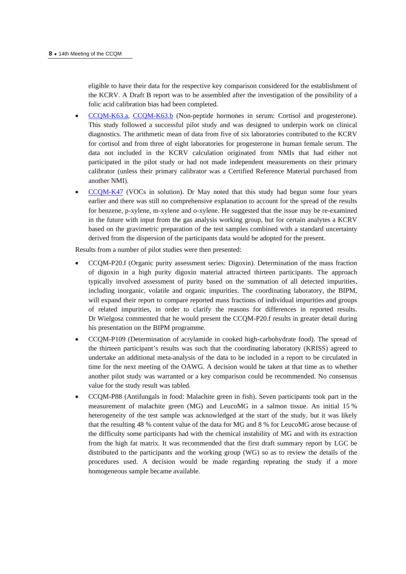eligible to have their data for the respective key comparison considered for the establishment of the KCRV. A Draft B report was to be assembled after the investigation of the possibility of a folic acid calibration bias had been completed.

- [CCQM-K63.a,](http://kcdb.bipm.org/AppendixB/KCDB_ApB_info.asp?cmp_idy=826&cmp_cod=CCQM%2DK63%2Ea&page=) [CCQM-K63.b \(](http://kcdb.bipm.org/AppendixB/KCDB_ApB_info.asp?cmp_idy=827&cmp_cod=CCQM%2DK63%2Eb&page=)Non-peptide hormones in serum: Cortisol and progesterone). This study followed a successful pilot study and was designed to underpin work on clinical diagnostics. The arithmetic mean of data from five of six laboratories contributed to the KCRV for cortisol and from three of eight laboratories for progesterone in human female serum. The data not included in the KCRV calculation originated from NMIs that had either not participated in the pilot study or had not made independent measurements on their primary calibrator (unless their primary calibrator was a Certified Reference Material purchased from another NMI).
- [CCQM-K47 \(V](http://kcdb.bipm.org/AppendixB/KCDB_ApB_info.asp?cmp_idy=734&cmp_cod=CCQM%2DK47&page=)OCs in solution). Dr May noted that this study had begun some four years earlier and there was still no comprehensive explanation to account for the spread of the results for benzene, p-xylene, m-xylene and o-xylene. He suggested that the issue may be re-examined in the future with input from the gas analysis working group, but for certain analytes a KCRV based on the gravimetric preparation of the test samples combined with a standard uncertainty derived from the dispersion of the participants data would be adopted for the present.

Results from a number of pilot studies were then presented:

- CCQM-P20.f (Organic purity assessment series: Digoxin). Determination of the mass fraction of digoxin in a high purity digoxin material attracted thirteen participants. The approach typically involved assessment of purity based on the summation of all detected impurities, including inorganic, volatile and organic impurities. The coordinating laboratory, the BIPM, will expand their report to compare reported mass fractions of individual impurities and groups of related impurities, in order to clarify the reasons for differences in reported results. Dr Wielgosz commented that he would present the CCQM-P20.f results in greater detail during his presentation on the BIPM programme.
- CCQM-P109 (Determination of acrylamide in cooked high-carbohydrate food). The spread of the thirteen participant's results was such that the coordinating laboratory (KRISS) agreed to undertake an additional meta-analysis of the data to be included in a report to be circulated in time for the next meeting of the OAWG. A decision would be taken at that time as to whether another pilot study was warranted or a key comparison could be recommended. No consensus value for the study result was tabled.
- CCQM-P88 (Antifungals in food: Malachite green in fish). Seven participants took part in the measurement of malachite green (MG) and LeucoMG in a salmon tissue. An initial 15 % heterogeneity of the test sample was acknowledged at the start of the study, but it was likely that the resulting 48 % content value of the data for MG and 8 % for LeucoMG arose because of the difficulty some participants had with the chemical instability of MG and with its extraction from the high fat matrix. It was recommended that the first draft summary report by LGC be distributed to the participants and the working group (WG) so as to review the details of the procedures used. A decision would be made regarding repeating the study if a more homogeneous sample became available.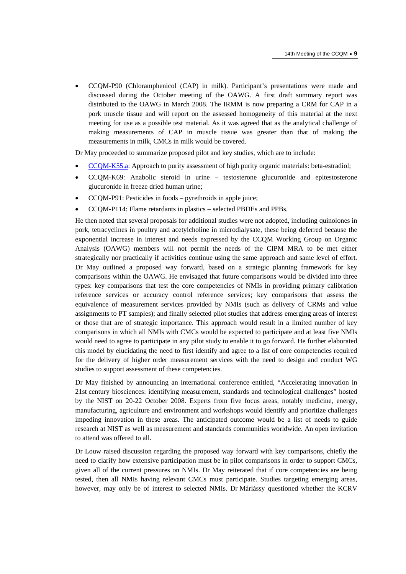• CCQM-P90 (Chloramphenicol (CAP) in milk). Participant's presentations were made and discussed during the October meeting of the OAWG. A first draft summary report was distributed to the OAWG in March 2008. The IRMM is now preparing a CRM for CAP in a pork muscle tissue and will report on the assessed homogeneity of this material at the next meeting for use as a possible test material. As it was agreed that as the analytical challenge of making measurements of CAP in muscle tissue was greater than that of making the measurements in milk, CMCs in milk would be covered.

Dr May proceeded to summarize proposed pilot and key studies, which are to include:

- [CCQM-K55.a: App](http://kcdb.bipm.org/AppendixB/KCDB_ApB_info.asp?cmp_idy=823&cmp_cod=CCQM%2DK55%2Ea&page=)roach to purity assessment of high purity organic materials: beta-estradiol;
- CCQM-K69: Anabolic steroid in urine testosterone glucuronide and epitestosterone glucuronide in freeze dried human urine;
- CCQM-P91: Pesticides in foods pyrethroids in apple juice;
- CCQM-P114: Flame retardants in plastics selected PBDEs and PPBs.

He then noted that several proposals for additional studies were not adopted, including quinolones in pork, tetracyclines in poultry and acetylcholine in microdialysate, these being deferred because the exponential increase in interest and needs expressed by the CCQM Working Group on Organic Analysis (OAWG) members will not permit the needs of the CIPM MRA to be met either strategically nor practically if activities continue using the same approach and same level of effort. Dr May outlined a proposed way forward, based on a strategic planning framework for key comparisons within the OAWG. He envisaged that future comparisons would be divided into three types: key comparisons that test the core competencies of NMIs in providing primary calibration reference services or accuracy control reference services; key comparisons that assess the equivalence of measurement services provided by NMIs (such as delivery of CRMs and value assignments to PT samples); and finally selected pilot studies that address emerging areas of interest or those that are of strategic importance. This approach would result in a limited number of key comparisons in which all NMIs with CMCs would be expected to participate and at least five NMIs would need to agree to participate in any pilot study to enable it to go forward. He further elaborated this model by elucidating the need to first identify and agree to a list of core competencies required for the delivery of higher order measurement services with the need to design and conduct WG studies to support assessment of these competencies.

Dr May finished by announcing an international conference entitled, "Accelerating innovation in 21st century biosciences: identifying measurement, standards and technological challenges" hosted by the NIST on 20-22 October 2008. Experts from five focus areas, notably medicine, energy, manufacturing, agriculture and environment and workshops would identify and prioritize challenges impeding innovation in these areas. The anticipated outcome would be a list of needs to guide research at NIST as well as measurement and standards communities worldwide. An open invitation to attend was offered to all.

Dr Louw raised discussion regarding the proposed way forward with key comparisons, chiefly the need to clarify how extensive participation must be in pilot comparisons in order to support CMCs, given all of the current pressures on NMIs. Dr May reiterated that if core competencies are being tested, then all NMIs having relevant CMCs must participate. Studies targeting emerging areas, however, may only be of interest to selected NMIs. Dr Máriássy questioned whether the KCRV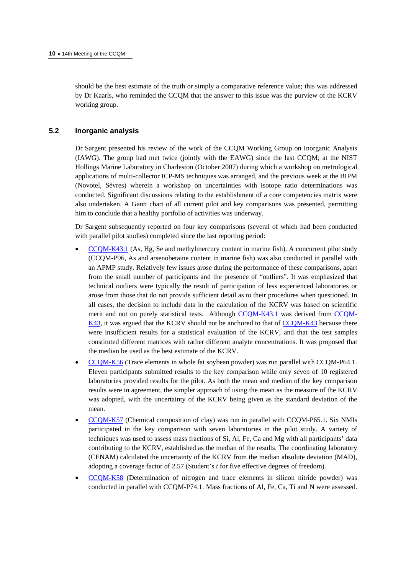should be the best estimate of the truth or simply a comparative reference value; this was addressed by Dr Kaarls, who reminded the CCQM that the answer to this issue was the purview of the KCRV working group.

# **5.2 Inorganic analysis**

Dr Sargent presented his review of the work of the CCQM Working Group on Inorganic Analysis (IAWG). The group had met twice (jointly with the EAWG) since the last CCQM; at the NIST Hollings Marine Laboratory in Charleston (October 2007) during which a workshop on metrological applications of multi-collector ICP-MS techniques was arranged, and the previous week at the BIPM (Novotel, Sèvres) wherein a workshop on uncertainties with isotope ratio determinations was conducted. Significant discussions relating to the establishment of a core competencies matrix were also undertaken. A Gantt chart of all current pilot and key comparisons was presented, permitting him to conclude that a healthy portfolio of activities was underway.

Dr Sargent subsequently reported on four key comparisons (several of which had been conducted with parallel pilot studies) completed since the last reporting period:

- [CCQM-K43.1 \(As](http://kcdb.bipm.org/AppendixB/KCDB_ApB_info.asp?cmp_idy=829&cmp_cod=CCQM%2DK43%2E1&page=), Hg, Se and methylmercury content in marine fish). A concurrent pilot study (CCQM-P96, As and arsenobetaine content in marine fish) was also conducted in parallel with an APMP study. Relatively few issues arose during the performance of these comparisons, apart from the small number of participants and the presence of "outliers". It was emphasized that technical outliers were typically the result of participation of less experienced laboratories or arose from those that do not provide sufficient detail as to their procedures when questioned. In all cases, the decision to include data in the calculation of the KCRV was based on scientific merit and not on purely statistical tests. Altho[ugh CCQM-K43.1 w](http://kcdb.bipm.org/AppendixB/KCDB_ApB_info.asp?cmp_idy=829&cmp_cod=CCQM%2DK43%2E1&page=)as derived fro[m CCQM-](http://kcdb.bipm.org/AppendixB/KCDB_ApB_info.asp?cmp_idy=638&cmp_cod=CCQM%2DK43&page=)[K43, it w](http://kcdb.bipm.org/AppendixB/KCDB_ApB_info.asp?cmp_idy=638&cmp_cod=CCQM%2DK43&page=)as argued that the KCRV should not be anchored to that [of CCQM-K43 be](http://kcdb.bipm.org/AppendixB/KCDB_ApB_info.asp?cmp_idy=638&cmp_cod=CCQM%2DK43&page=)cause there were insufficient results for a statistical evaluation of the KCRV, and that the test samples constituted different matrices with rather different analyte concentrations. It was proposed that the median be used as the best estimate of the KCRV.
- [CCQM-K56 \(Trac](http://kcdb.bipm.org/AppendixB/KCDB_ApB_info.asp?cmp_idy=832&cmp_cod=CCQM%2DK56&page=)e elements in whole fat soybean powder) was run parallel with CCQM-P64.1. Eleven participants submitted results to the key comparison while only seven of 10 registered laboratories provided results for the pilot. As both the mean and median of the key comparison results were in agreement, the simpler approach of using the mean as the measure of the KCRV was adopted, with the uncertainty of the KCRV being given as the standard deviation of the mean.
- [CCQM-K57 \(Chem](http://kcdb.bipm.org/AppendixB/KCDB_ApB_info.asp?cmp_idy=833&cmp_cod=CCQM%2DK57&page=)ical composition of clay) was run in parallel with CCQM-P65.1. Six NMIs participated in the key comparison with seven laboratories in the pilot study. A variety of techniques was used to assess mass fractions of Si, Al, Fe, Ca and Mg with all participants' data contributing to the KCRV, established as the median of the results. The coordinating laboratory (CENAM) calculated the uncertainty of the KCRV from the median absolute deviation (MAD), adopting a coverage factor of 2.57 (Student's *t* for five effective degrees of freedom).
- [CCQM-K58 \(Det](http://kcdb.bipm.org/AppendixB/KCDB_ApB_info.asp?cmp_idy=834&cmp_cod=CCQM%2DK58&page=)ermination of nitrogen and trace elements in silicon nitride powder) was conducted in parallel with CCQM-P74.1. Mass fractions of Al, Fe, Ca, Ti and N were assessed.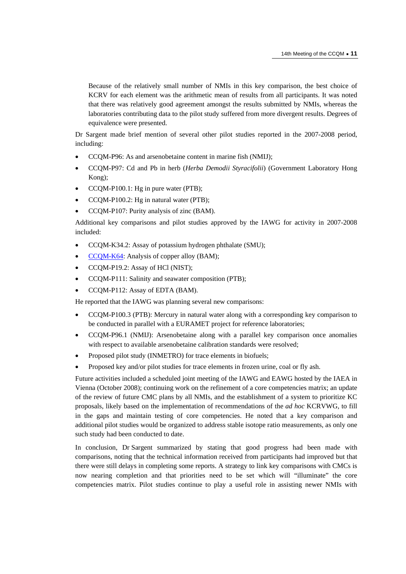Because of the relatively small number of NMIs in this key comparison, the best choice of KCRV for each element was the arithmetic mean of results from all participants. It was noted that there was relatively good agreement amongst the results submitted by NMIs, whereas the laboratories contributing data to the pilot study suffered from more divergent results. Degrees of equivalence were presented.

Dr Sargent made brief mention of several other pilot studies reported in the 2007-2008 period, including:

- CCQM-P96: As and arsenobetaine content in marine fish (NMIJ);
- CCQM-P97: Cd and Pb in herb (*Herba Demodii Styracifolii*) (Government Laboratory Hong Kong);
- CCQM-P100.1: Hg in pure water (PTB);
- CCQM-P100.2: Hg in natural water (PTB);
- CCQM-P107: Purity analysis of zinc (BAM).

Additional key comparisons and pilot studies approved by the IAWG for activity in 2007-2008 included:

- CCQM-K34.2: Assay of potassium hydrogen phthalate (SMU);
- [CCQM-K64: Ana](http://kcdb.bipm.org/AppendixB/KCDB_ApB_info.asp?cmp_idy=866&cmp_cod=CCQM%2DK64&page=)lysis of copper alloy (BAM);
- CCQM-P19.2: Assay of HCl (NIST);
- CCQM-P111: Salinity and seawater composition (PTB);
- CCQM-P112: Assay of EDTA (BAM).

He reported that the IAWG was planning several new comparisons:

- CCQM-P100.3 (PTB): Mercury in natural water along with a corresponding key comparison to be conducted in parallel with a EURAMET project for reference laboratories;
- CCQM-P96.1 (NMIJ): Arsenobetaine along with a parallel key comparison once anomalies with respect to available arsenobetaine calibration standards were resolved;
- Proposed pilot study (INMETRO) for trace elements in biofuels;
- Proposed key and/or pilot studies for trace elements in frozen urine, coal or fly ash.

Future activities included a scheduled joint meeting of the IAWG and EAWG hosted by the IAEA in Vienna (October 2008); continuing work on the refinement of a core competencies matrix; an update of the review of future CMC plans by all NMIs, and the establishment of a system to prioritize KC proposals, likely based on the implementation of recommendations of the *ad hoc* KCRVWG, to fill in the gaps and maintain testing of core competencies. He noted that a key comparison and additional pilot studies would be organized to address stable isotope ratio measurements, as only one such study had been conducted to date.

In conclusion, Dr Sargent summarized by stating that good progress had been made with comparisons, noting that the technical information received from participants had improved but that there were still delays in completing some reports. A strategy to link key comparisons with CMCs is now nearing completion and that priorities need to be set which will "illuminate" the core competencies matrix. Pilot studies continue to play a useful role in assisting newer NMIs with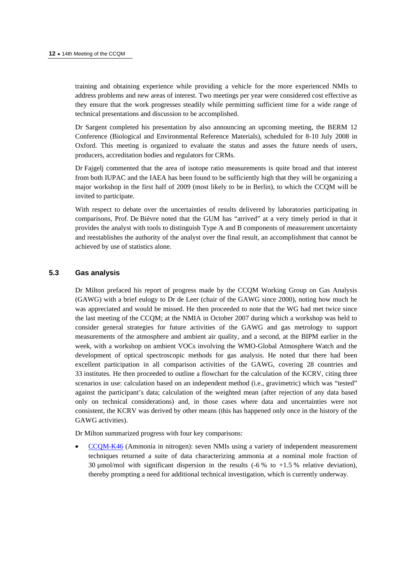training and obtaining experience while providing a vehicle for the more experienced NMIs to address problems and new areas of interest. Two meetings per year were considered cost effective as they ensure that the work progresses steadily while permitting sufficient time for a wide range of technical presentations and discussion to be accomplished.

Dr Sargent completed his presentation by also announcing an upcoming meeting, the BERM 12 Conference (Biological and Environmental Reference Materials), scheduled for 8-10 July 2008 in Oxford. This meeting is organized to evaluate the status and asses the future needs of users, producers, accreditation bodies and regulators for CRMs.

Dr Fajgelj commented that the area of isotope ratio measurements is quite broad and that interest from both IUPAC and the IAEA has been found to be sufficiently high that they will be organizing a major workshop in the first half of 2009 (most likely to be in Berlin), to which the CCQM will be invited to participate.

With respect to debate over the uncertainties of results delivered by laboratories participating in comparisons, Prof. De Bièvre noted that the GUM has "arrived" at a very timely period in that it provides the analyst with tools to distinguish Type A and B components of measurement uncertainty and reestablishes the authority of the analyst over the final result, an accomplishment that cannot be achieved by use of statistics alone.

# **5.3 Gas analysis**

Dr Milton prefaced his report of progress made by the CCQM Working Group on Gas Analysis (GAWG) with a brief eulogy to Dr de Leer (chair of the GAWG since 2000), noting how much he was appreciated and would be missed. He then proceeded to note that the WG had met twice since the last meeting of the CCQM; at the NMIA in October 2007 during which a workshop was held to consider general strategies for future activities of the GAWG and gas metrology to support measurements of the atmosphere and ambient air quality, and a second, at the BIPM earlier in the week, with a workshop on ambient VOCs involving the WMO-Global Atmosphere Watch and the development of optical spectroscopic methods for gas analysis. He noted that there had been excellent participation in all comparison activities of the GAWG, covering 28 countries and 33 institutes. He then proceeded to outline a flowchart for the calculation of the KCRV, citing three scenarios in use: calculation based on an independent method (i.e., gravimetric) which was "tested" against the participant's data; calculation of the weighted mean (after rejection of any data based only on technical considerations) and, in those cases where data and uncertainties were not consistent, the KCRV was derived by other means (this has happened only once in the history of the GAWG activities).

Dr Milton summarized progress with four key comparisons:

• [CCQM-K46 \(Amm](http://kcdb.bipm.org/AppendixB/KCDB_ApB_info.asp?cmp_idy=692&cmp_cod=CCQM%2DK46&page=)onia in nitrogen): seven NMIs using a variety of independent measurement techniques returned a suite of data characterizing ammonia at a nominal mole fraction of 30  $\mu$ mol/mol with significant dispersion in the results (-6 % to +1.5 % relative deviation), thereby prompting a need for additional technical investigation, which is currently underway.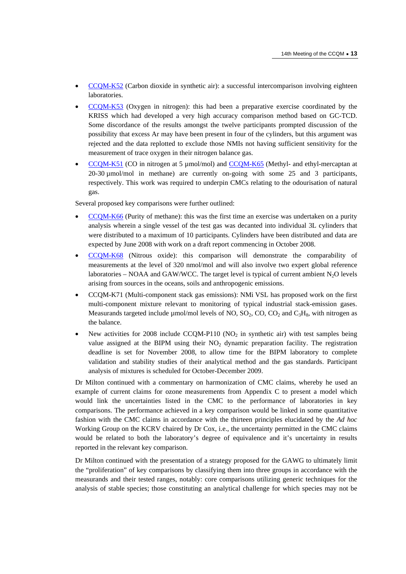- [CCQM-K52 \(Carb](http://kcdb.bipm.org/AppendixB/KCDB_ApB_info.asp?cmp_idy=758&cmp_cod=CCQM%2DK52&page=)on dioxide in synthetic air): a successful intercomparison involving eighteen laboratories.
- [CCQM-K53 \(Ox](http://kcdb.bipm.org/AppendixB/KCDB_ApB_info.asp?cmp_idy=759&cmp_cod=CCQM%2DK53&page=)ygen in nitrogen): this had been a preparative exercise coordinated by the KRISS which had developed a very high accuracy comparison method based on GC-TCD. Some discordance of the results amongst the twelve participants prompted discussion of the possibility that excess Ar may have been present in four of the cylinders, but this argument was rejected and the data replotted to exclude those NMIs not having sufficient sensitivity for the measurement of trace oxygen in their nitrogen balance gas.
- [CCQM-K51 \(CO](http://kcdb.bipm.org/AppendixB/KCDB_ApB_info.asp?cmp_idy=757&cmp_cod=CCQM%2DK51&page=) in nitrogen at 5 µmol/mol) [and CCQM-K65 \(Met](http://kcdb.bipm.org/AppendixB/KCDB_ApB_info.asp?cmp_idy=894&cmp_cod=CCQM%2DK65&page=)hyl- and ethyl-mercaptan at 20-30 µmol/mol in methane) are currently on-going with some 25 and 3 participants, respectively. This work was required to underpin CMCs relating to the odourisation of natural gas.

Several proposed key comparisons were further outlined:

- [CCQM-K66 \(Pu](http://kcdb.bipm.org/AppendixB/KCDB_ApB_info.asp?cmp_idy=895&cmp_cod=CCQM%2DK66&page=)rity of methane): this was the first time an exercise was undertaken on a purity analysis wherein a single vessel of the test gas was decanted into individual 3L cylinders that were distributed to a maximum of 10 participants. Cylinders have been distributed and data are expected by June 2008 with work on a draft report commencing in October 2008.
- [CCQM-K68 \(Ni](http://kcdb.bipm.org/AppendixB/KCDB_ApB_info.asp?cmp_idy=896&cmp_cod=CCQM%2DK68&page=)trous oxide): this comparison will demonstrate the comparability of measurements at the level of 320 nmol/mol and will also involve two expert global reference laboratories – NOAA and GAW/WCC. The target level is typical of current ambient  $N_2O$  levels arising from sources in the oceans, soils and anthropogenic emissions.
- CCQM-K71 (Multi-component stack gas emissions): NMi VSL has proposed work on the first multi-component mixture relevant to monitoring of typical industrial stack-emission gases. Measurands targeted include µmol/mol levels of NO,  $SO_2$ ,  $CO$ ,  $CO_2$  and  $C_3H_8$ , with nitrogen as the balance.
- New activities for 2008 include CCQM-P110 (NO<sub>2</sub> in synthetic air) with test samples being value assigned at the BIPM using their  $NO<sub>2</sub>$  dynamic preparation facility. The registration deadline is set for November 2008, to allow time for the BIPM laboratory to complete validation and stability studies of their analytical method and the gas standards. Participant analysis of mixtures is scheduled for October-December 2009.

Dr Milton continued with a commentary on harmonization of CMC claims, whereby he used an example of current claims for ozone measurements from Appendix C to present a model which would link the uncertainties listed in the CMC to the performance of laboratories in key comparisons. The performance achieved in a key comparison would be linked in some quantitative fashion with the CMC claims in accordance with the thirteen principles elucidated by the *Ad hoc* Working Group on the KCRV chaired by Dr Cox, i.e., the uncertainty permitted in the CMC claims would be related to both the laboratory's degree of equivalence and it's uncertainty in results reported in the relevant key comparison.

Dr Milton continued with the presentation of a strategy proposed for the GAWG to ultimately limit the "proliferation" of key comparisons by classifying them into three groups in accordance with the measurands and their tested ranges, notably: core comparisons utilizing generic techniques for the analysis of stable species; those constituting an analytical challenge for which species may not be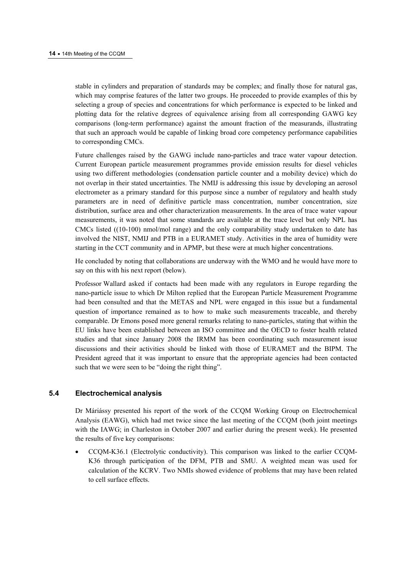stable in cylinders and preparation of standards may be complex; and finally those for natural gas, which may comprise features of the latter two groups. He proceeded to provide examples of this by selecting a group of species and concentrations for which performance is expected to be linked and plotting data for the relative degrees of equivalence arising from all corresponding GAWG key comparisons (long-term performance) against the amount fraction of the measurands, illustrating that such an approach would be capable of linking broad core competency performance capabilities to corresponding CMCs.

Future challenges raised by the GAWG include nano-particles and trace water vapour detection. Current European particle measurement programmes provide emission results for diesel vehicles using two different methodologies (condensation particle counter and a mobility device) which do not overlap in their stated uncertainties. The NMIJ is addressing this issue by developing an aerosol electrometer as a primary standard for this purpose since a number of regulatory and health study parameters are in need of definitive particle mass concentration, number concentration, size distribution, surface area and other characterization measurements. In the area of trace water vapour measurements, it was noted that some standards are available at the trace level but only NPL has CMCs listed ((10-100) nmol/mol range) and the only comparability study undertaken to date has involved the NIST, NMIJ and PTB in a EURAMET study. Activities in the area of humidity were starting in the CCT community and in APMP, but these were at much higher concentrations.

He concluded by noting that collaborations are underway with the WMO and he would have more to say on this with his next report (below).

Professor Wallard asked if contacts had been made with any regulators in Europe regarding the nano-particle issue to which Dr Milton replied that the European Particle Measurement Programme had been consulted and that the METAS and NPL were engaged in this issue but a fundamental question of importance remained as to how to make such measurements traceable, and thereby comparable. Dr Emons posed more general remarks relating to nano-particles, stating that within the EU links have been established between an ISO committee and the OECD to foster health related studies and that since January 2008 the IRMM has been coordinating such measurement issue discussions and their activities should be linked with those of EURAMET and the BIPM. The President agreed that it was important to ensure that the appropriate agencies had been contacted such that we were seen to be "doing the right thing".

# **5.4 Electrochemical analysis**

Dr Máriássy presented his report of the work of the CCQM Working Group on Electrochemical Analysis (EAWG), which had met twice since the last meeting of the CCQM (both joint meetings with the IAWG; in Charleston in October 2007 and earlier during the present week). He presented the results of five key comparisons:

• CCQM-K36.1 (Electrolytic conductivity). This comparison was linked to the earlier CCQM-K36 through participation of the DFM, PTB and SMU. A weighted mean was used for calculation of the KCRV. Two NMIs showed evidence of problems that may have been related to cell surface effects.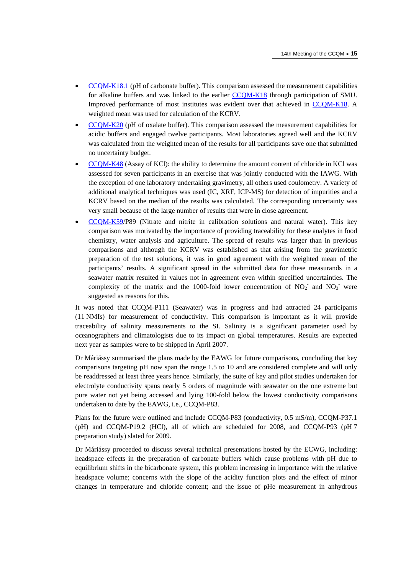- [CCQM-K18.1 \(pH o](http://kcdb.bipm.org/AppendixB/KCDB_ApB_info.asp?cmp_idy=813&cmp_cod=CCQM%2DK18%2E1&page=)f carbonate buffer). This comparison assessed the measurement capabilities for alkaline buffers and was linked to the ear[lier CCQM-K18 thro](http://kcdb.bipm.org/AppendixB/KCDB_ApB_info.asp?cmp_idy=169&cmp_cod=CCQM%2DK18&page=)ugh participation of SMU. Improved performance of most institutes was evident over that achieved [in CCQM-K18. A](http://kcdb.bipm.org/AppendixB/KCDB_ApB_info.asp?cmp_idy=169&cmp_cod=CCQM%2DK18&page=)  weighted mean was used for calculation of the KCRV.
- [CCQM-K20 \(pH](http://kcdb.bipm.org/AppendixB/KCDB_ApB_info.asp?cmp_idy=171&cmp_cod=CCQM%2DK20&page=) of oxalate buffer). This comparison assessed the measurement capabilities for acidic buffers and engaged twelve participants. Most laboratories agreed well and the KCRV was calculated from the weighted mean of the results for all participants save one that submitted no uncertainty budget.
- [CCQM-K48 \(Assa](http://kcdb.bipm.org/AppendixB/KCDB_ApB_info.asp?cmp_idy=735&cmp_cod=CCQM%2DK48&page=)y of KCl): the ability to determine the amount content of chloride in KCl was assessed for seven participants in an exercise that was jointly conducted with the IAWG. With the exception of one laboratory undertaking gravimetry, all others used coulometry. A variety of additional analytical techniques was used (IC, XRF, ICP-MS) for detection of impurities and a KCRV based on the median of the results was calculated. The corresponding uncertainty was very small because of the large number of results that were in close agreement.
- [CCQM-K59/](http://kcdb.bipm.org/AppendixB/KCDB_ApB_info.asp?cmp_idy=831&cmp_cod=CCQM%2DK59&page=)P89 (Nitrate and nitrite in calibration solutions and natural water). This key comparison was motivated by the importance of providing traceability for these analytes in food chemistry, water analysis and agriculture. The spread of results was larger than in previous comparisons and although the KCRV was established as that arising from the gravimetric preparation of the test solutions, it was in good agreement with the weighted mean of the participants' results. A significant spread in the submitted data for these measurands in a seawater matrix resulted in values not in agreement even within specified uncertainties. The complexity of the matrix and the 1000-fold lower concentration of  $NO_2^-$  and  $NO_3^-$  were suggested as reasons for this.

It was noted that CCQM-P111 (Seawater) was in progress and had attracted 24 participants (11 NMIs) for measurement of conductivity. This comparison is important as it will provide traceability of salinity measurements to the SI. Salinity is a significant parameter used by oceanographers and climatologists due to its impact on global temperatures. Results are expected next year as samples were to be shipped in April 2007.

Dr Máriássy summarised the plans made by the EAWG for future comparisons, concluding that key comparisons targeting pH now span the range 1.5 to 10 and are considered complete and will only be readdressed at least three years hence. Similarly, the suite of key and pilot studies undertaken for electrolyte conductivity spans nearly 5 orders of magnitude with seawater on the one extreme but pure water not yet being accessed and lying 100-fold below the lowest conductivity comparisons undertaken to date by the EAWG, i.e., CCQM-P83.

Plans for the future were outlined and include CCQM-P83 (conductivity, 0.5 mS/m), CCQM-P37.1 (pH) and CCQM-P19.2 (HCl), all of which are scheduled for 2008, and CCQM-P93 (pH 7 preparation study) slated for 2009.

Dr Máriássy proceeded to discuss several technical presentations hosted by the ECWG, including: headspace effects in the preparation of carbonate buffers which cause problems with pH due to equilibrium shifts in the bicarbonate system, this problem increasing in importance with the relative headspace volume; concerns with the slope of the acidity function plots and the effect of minor changes in temperature and chloride content; and the issue of pHe measurement in anhydrous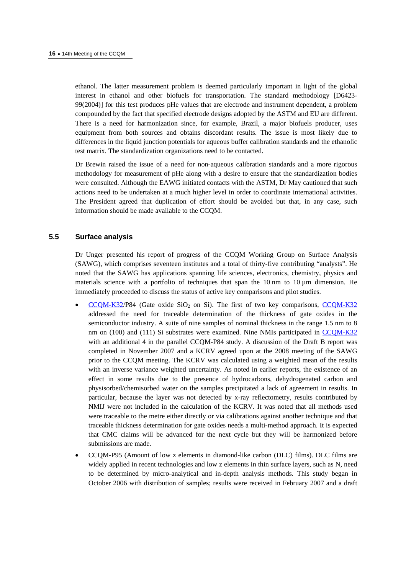ethanol. The latter measurement problem is deemed particularly important in light of the global interest in ethanol and other biofuels for transportation. The standard methodology [D6423- 99(2004)] for this test produces pHe values that are electrode and instrument dependent, a problem compounded by the fact that specified electrode designs adopted by the ASTM and EU are different. There is a need for harmonization since, for example, Brazil, a major biofuels producer, uses equipment from both sources and obtains discordant results. The issue is most likely due to differences in the liquid junction potentials for aqueous buffer calibration standards and the ethanolic test matrix. The standardization organizations need to be contacted.

Dr Brewin raised the issue of a need for non-aqueous calibration standards and a more rigorous methodology for measurement of pHe along with a desire to ensure that the standardization bodies were consulted. Although the EAWG initiated contacts with the ASTM, Dr May cautioned that such actions need to be undertaken at a much higher level in order to coordinate international activities. The President agreed that duplication of effort should be avoided but that, in any case, such information should be made available to the CCQM.

# **5.5 Surface analysis**

Dr Unger presented his report of progress of the CCQM Working Group on Surface Analysis (SAWG), which comprises seventeen institutes and a total of thirty-five contributing "analysts". He noted that the SAWG has applications spanning life sciences, electronics, chemistry, physics and materials science with a portfolio of techniques that span the  $10 \text{ nm}$  to  $10 \mu \text{m}$  dimension. He immediately proceeded to discuss the status of active key comparisons and pilot studies.

- [CCQM-K32/P](http://kcdb.bipm.org/AppendixB/KCDB_ApB_info.asp?cmp_idy=550&cmp_cod=CCQM%2DK32&page=)84 (Gate oxide SiO<sub>2</sub> on Si). The first of two key compariso[ns, CCQM-K32](http://kcdb.bipm.org/AppendixB/KCDB_ApB_info.asp?cmp_idy=550&cmp_cod=CCQM%2DK32&page=) addressed the need for traceable determination of the thickness of gate oxides in the semiconductor industry. A suite of nine samples of nominal thickness in the range 1.5 nm to 8 nm on (100) and (111) Si substrates were examined. Nine NMIs participated [in CCQM-K32](http://kcdb.bipm.org/AppendixB/KCDB_ApB_info.asp?cmp_idy=550&cmp_cod=CCQM%2DK32&page=) with an additional 4 in the parallel CCQM-P84 study. A discussion of the Draft B report was completed in November 2007 and a KCRV agreed upon at the 2008 meeting of the SAWG prior to the CCQM meeting. The KCRV was calculated using a weighted mean of the results with an inverse variance weighted uncertainty. As noted in earlier reports, the existence of an effect in some results due to the presence of hydrocarbons, dehydrogenated carbon and physisorbed/chemisorbed water on the samples precipitated a lack of agreement in results. In particular, because the layer was not detected by x-ray reflectometry, results contributed by NMIJ were not included in the calculation of the KCRV. It was noted that all methods used were traceable to the metre either directly or via calibrations against another technique and that traceable thickness determination for gate oxides needs a multi-method approach. It is expected that CMC claims will be advanced for the next cycle but they will be harmonized before submissions are made.
- CCQM-P95 (Amount of low z elements in diamond-like carbon (DLC) films). DLC films are widely applied in recent technologies and low z elements in thin surface layers, such as N, need to be determined by micro-analytical and in-depth analysis methods. This study began in October 2006 with distribution of samples; results were received in February 2007 and a draft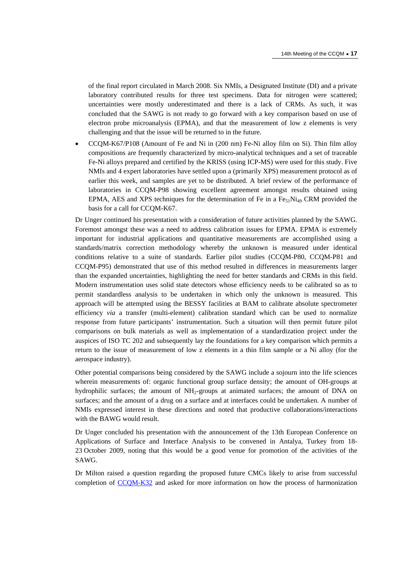of the final report circulated in March 2008. Six NMIs, a Designated Institute (DI) and a private laboratory contributed results for three test specimens. Data for nitrogen were scattered; uncertainties were mostly underestimated and there is a lack of CRMs. As such, it was concluded that the SAWG is not ready to go forward with a key comparison based on use of electron probe microanalysis (EPMA), and that the measurement of low z elements is very challenging and that the issue will be returned to in the future.

• CCQM-K67/P108 (Amount of Fe and Ni in (200 nm) Fe-Ni alloy film on Si). Thin film alloy compositions are frequently characterized by micro-analytical techniques and a set of traceable Fe-Ni alloys prepared and certified by the KRISS (using ICP-MS) were used for this study. Five NMIs and 4 expert laboratories have settled upon a (primarily XPS) measurement protocol as of earlier this week, and samples are yet to be distributed. A brief review of the performance of laboratories in CCQM-P98 showing excellent agreement amongst results obtained using EPMA, AES and XPS techniques for the determination of Fe in a Fe<sub>51</sub>Ni<sub>49</sub> CRM provided the basis for a call for CCQM-K67.

Dr Unger continued his presentation with a consideration of future activities planned by the SAWG. Foremost amongst these was a need to address calibration issues for EPMA. EPMA is extremely important for industrial applications and quantitative measurements are accomplished using a standards/matrix correction methodology whereby the unknown is measured under identical conditions relative to a suite of standards. Earlier pilot studies (CCQM-P80, CCQM-P81 and CCQM-P95) demonstrated that use of this method resulted in differences in measurements larger than the expanded uncertainties, highlighting the need for better standards and CRMs in this field. Modern instrumentation uses solid state detectors whose efficiency needs to be calibrated so as to permit standardless analysis to be undertaken in which only the unknown is measured. This approach will be attempted using the BESSY facilities at BAM to calibrate absolute spectrometer efficiency *via* a transfer (multi-element) calibration standard which can be used to normalize response from future participants' instrumentation. Such a situation will then permit future pilot comparisons on bulk materials as well as implementation of a standardization project under the auspices of ISO TC 202 and subsequently lay the foundations for a key comparison which permits a return to the issue of measurement of low z elements in a thin film sample or a Ni alloy (for the aerospace industry).

Other potential comparisons being considered by the SAWG include a sojourn into the life sciences wherein measurements of: organic functional group surface density; the amount of OH-groups at hydrophilic surfaces; the amount of NH<sub>2</sub>-groups at animated surfaces; the amount of DNA on surfaces; and the amount of a drug on a surface and at interfaces could be undertaken. A number of NMIs expressed interest in these directions and noted that productive collaborations/interactions with the BAWG would result.

Dr Unger concluded his presentation with the announcement of the 13th European Conference on Applications of Surface and Interface Analysis to be convened in Antalya, Turkey from 18- 23 October 2009, noting that this would be a good venue for promotion of the activities of the SAWG.

Dr Milton raised a question regarding the proposed future CMCs likely to arise from successful completion [of CCQM-K32 and a](http://kcdb.bipm.org/AppendixB/KCDB_ApB_info.asp?cmp_idy=550&cmp_cod=CCQM%2DK32&page=)sked for more information on how the process of harmonization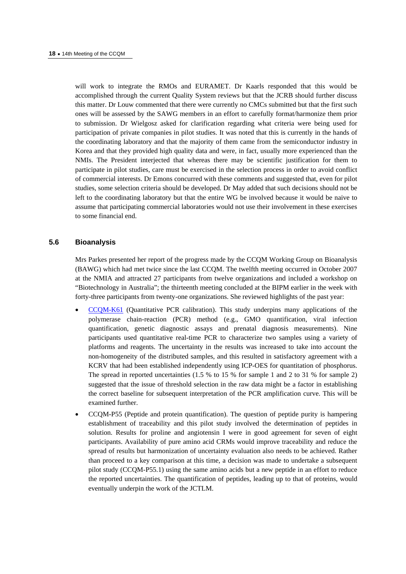will work to integrate the RMOs and EURAMET. Dr Kaarls responded that this would be accomplished through the current Quality System reviews but that the JCRB should further discuss this matter. Dr Louw commented that there were currently no CMCs submitted but that the first such ones will be assessed by the SAWG members in an effort to carefully format/harmonize them prior to submission. Dr Wielgosz asked for clarification regarding what criteria were being used for participation of private companies in pilot studies. It was noted that this is currently in the hands of the coordinating laboratory and that the majority of them came from the semiconductor industry in Korea and that they provided high quality data and were, in fact, usually more experienced than the NMIs. The President interjected that whereas there may be scientific justification for them to participate in pilot studies, care must be exercised in the selection process in order to avoid conflict of commercial interests. Dr Emons concurred with these comments and suggested that, even for pilot studies, some selection criteria should be developed. Dr May added that such decisions should not be left to the coordinating laboratory but that the entire WG be involved because it would be naive to assume that participating commercial laboratories would not use their involvement in these exercises to some financial end.

## **5.6 Bioanalysis**

Mrs Parkes presented her report of the progress made by the CCQM Working Group on Bioanalysis (BAWG) which had met twice since the last CCQM. The twelfth meeting occurred in October 2007 at the NMIA and attracted 27 participants from twelve organizations and included a workshop on "Biotechnology in Australia"; the thirteenth meeting concluded at the BIPM earlier in the week with forty-three participants from twenty-one organizations. She reviewed highlights of the past year:

- [CCQM-K61 \(Qu](http://kcdb.bipm.org/AppendixB/KCDB_ApB_info.asp?cmp_idy=828&cmp_cod=CCQM%2DK61&page=)antitative PCR calibration). This study underpins many applications of the polymerase chain-reaction (PCR) method (e.g., GMO quantification, viral infection quantification, genetic diagnostic assays and prenatal diagnosis measurements). Nine participants used quantitative real-time PCR to characterize two samples using a variety of platforms and reagents. The uncertainty in the results was increased to take into account the non-homogeneity of the distributed samples, and this resulted in satisfactory agreement with a KCRV that had been established independently using ICP-OES for quantitation of phosphorus. The spread in reported uncertainties (1.5 % to 15 % for sample 1 and 2 to 31 % for sample 2) suggested that the issue of threshold selection in the raw data might be a factor in establishing the correct baseline for subsequent interpretation of the PCR amplification curve. This will be examined further.
- CCQM-P55 (Peptide and protein quantification). The question of peptide purity is hampering establishment of traceability and this pilot study involved the determination of peptides in solution. Results for proline and angiotensin I were in good agreement for seven of eight participants. Availability of pure amino acid CRMs would improve traceability and reduce the spread of results but harmonization of uncertainty evaluation also needs to be achieved. Rather than proceed to a key comparison at this time, a decision was made to undertake a subsequent pilot study (CCQM-P55.1) using the same amino acids but a new peptide in an effort to reduce the reported uncertainties. The quantification of peptides, leading up to that of proteins, would eventually underpin the work of the JCTLM.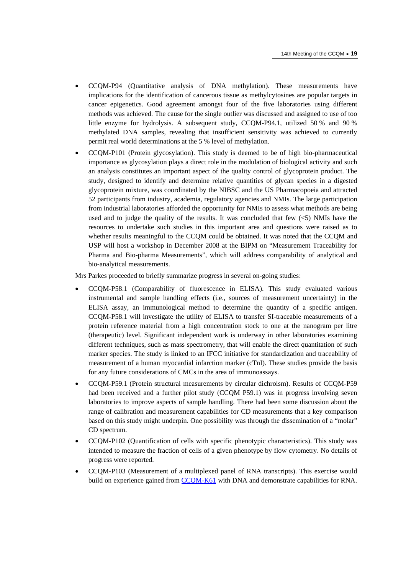- CCQM-P94 (Quantitative analysis of DNA methylation). These measurements have implications for the identification of cancerous tissue as methylcytosines are popular targets in cancer epigenetics. Good agreement amongst four of the five laboratories using different methods was achieved. The cause for the single outlier was discussed and assigned to use of too little enzyme for hydrolysis. A subsequent study, CCQM-P94.1, utilized 50 % and 90 % methylated DNA samples, revealing that insufficient sensitivity was achieved to currently permit real world determinations at the 5 % level of methylation.
- CCQM-P101 (Protein glycosylation). This study is deemed to be of high bio-pharmaceutical importance as glycosylation plays a direct role in the modulation of biological activity and such an analysis constitutes an important aspect of the quality control of glycoprotein product. The study, designed to identify and determine relative quantities of glycan species in a digested glycoprotein mixture, was coordinated by the NIBSC and the US Pharmacopoeia and attracted 52 participants from industry, academia, regulatory agencies and NMIs. The large participation from industrial laboratories afforded the opportunity for NMIs to assess what methods are being used and to judge the quality of the results. It was concluded that few  $\langle$  <5) NMIs have the resources to undertake such studies in this important area and questions were raised as to whether results meaningful to the CCQM could be obtained. It was noted that the CCQM and USP will host a workshop in December 2008 at the BIPM on "Measurement Traceability for Pharma and Bio-pharma Measurements", which will address comparability of analytical and bio-analytical measurements.

Mrs Parkes proceeded to briefly summarize progress in several on-going studies:

- CCQM-P58.1 (Comparability of fluorescence in ELISA). This study evaluated various instrumental and sample handling effects (i.e., sources of measurement uncertainty) in the ELISA assay, an immunological method to determine the quantity of a specific antigen. CCQM-P58.1 will investigate the utility of ELISA to transfer SI-traceable measurements of a protein reference material from a high concentration stock to one at the nanogram per litre (therapeutic) level. Significant independent work is underway in other laboratories examining different techniques, such as mass spectrometry, that will enable the direct quantitation of such marker species. The study is linked to an IFCC initiative for standardization and traceability of measurement of a human myocardial infarction marker (cTnI). These studies provide the basis for any future considerations of CMCs in the area of immunoassays.
- CCQM-P59.1 (Protein structural measurements by circular dichroism). Results of CCQM-P59 had been received and a further pilot study (CCQM P59.1) was in progress involving seven laboratories to improve aspects of sample handling. There had been some discussion about the range of calibration and measurement capabilities for CD measurements that a key comparison based on this study might underpin. One possibility was through the dissemination of a "molar" CD spectrum.
- CCQM-P102 (Quantification of cells with specific phenotypic characteristics). This study was intended to measure the fraction of cells of a given phenotype by flow cytometry. No details of progress were reported.
- CCQM-P103 (Measurement of a multiplexed panel of RNA transcripts). This exercise would build on experience gained fr[om CCQM-K61 with](http://kcdb.bipm.org/AppendixB/KCDB_ApB_info.asp?cmp_idy=828&cmp_cod=CCQM%2DK61&page=) DNA and demonstrate capabilities for RNA.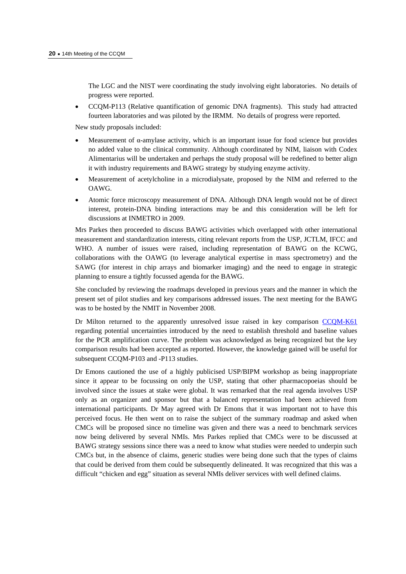The LGC and the NIST were coordinating the study involving eight laboratories. No details of progress were reported.

• CCQM-P113 (Relative quantification of genomic DNA fragments). This study had attracted fourteen laboratories and was piloted by the IRMM. No details of progress were reported.

New study proposals included:

- Measurement of  $\alpha$ -amylase activity, which is an important issue for food science but provides no added value to the clinical community. Although coordinated by NIM, liaison with Codex Alimentarius will be undertaken and perhaps the study proposal will be redefined to better align it with industry requirements and BAWG strategy by studying enzyme activity.
- Measurement of acetylcholine in a microdialysate, proposed by the NIM and referred to the OAWG.
- Atomic force microscopy measurement of DNA. Although DNA length would not be of direct interest, protein-DNA binding interactions may be and this consideration will be left for discussions at INMETRO in 2009.

Mrs Parkes then proceeded to discuss BAWG activities which overlapped with other international measurement and standardization interests, citing relevant reports from the USP, JCTLM, IFCC and WHO. A number of issues were raised, including representation of BAWG on the KCWG, collaborations with the OAWG (to leverage analytical expertise in mass spectrometry) and the SAWG (for interest in chip arrays and biomarker imaging) and the need to engage in strategic planning to ensure a tightly focussed agenda for the BAWG.

She concluded by reviewing the roadmaps developed in previous years and the manner in which the present set of pilot studies and key comparisons addressed issues. The next meeting for the BAWG was to be hosted by the NMIT in November 2008.

Dr Milton returned to the apparently unresolved issue raised in key comparison CCQM-K61 regarding potential uncertainties introduced by the need to establish threshold and [baseline values](http://kcdb.bipm.org/AppendixB/KCDB_ApB_info.asp?cmp_idy=828&cmp_cod=CCQM%2DK61&page=)  for the PCR amplification curve. The problem was acknowledged as being recognized but the key comparison results had been accepted as reported. However, the knowledge gained will be useful for subsequent CCQM-P103 and -P113 studies.

Dr Emons cautioned the use of a highly publicised USP/BIPM workshop as being inappropriate since it appear to be focussing on only the USP, stating that other pharmacopoeias should be involved since the issues at stake were global. It was remarked that the real agenda involves USP only as an organizer and sponsor but that a balanced representation had been achieved from international participants. Dr May agreed with Dr Emons that it was important not to have this perceived focus. He then went on to raise the subject of the summary roadmap and asked when CMCs will be proposed since no timeline was given and there was a need to benchmark services now being delivered by several NMIs. Mrs Parkes replied that CMCs were to be discussed at BAWG strategy sessions since there was a need to know what studies were needed to underpin such CMCs but, in the absence of claims, generic studies were being done such that the types of claims that could be derived from them could be subsequently delineated. It was recognized that this was a difficult "chicken and egg" situation as several NMIs deliver services with well defined claims.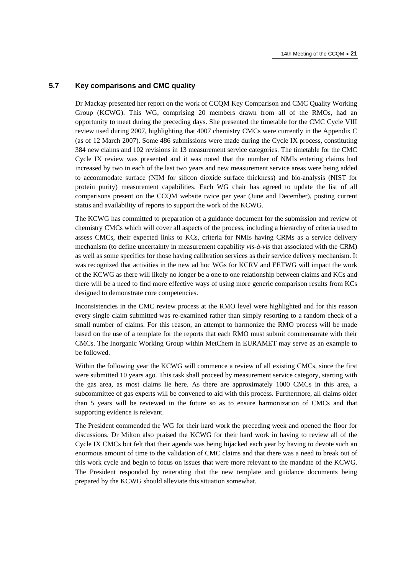#### **5.7 Key comparisons and CMC quality**

Dr Mackay presented her report on the work of CCQM Key Comparison and CMC Quality Working Group (KCWG). This WG, comprising 20 members drawn from all of the RMOs, had an opportunity to meet during the preceding days. She presented the timetable for the CMC Cycle VIII review used during 2007, highlighting that 4007 chemistry CMCs were currently in the Appendix C (as of 12 March 2007). Some 486 submissions were made during the Cycle IX process, constituting 384 new claims and 102 revisions in 13 measurement service categories. The timetable for the CMC Cycle IX review was presented and it was noted that the number of NMIs entering claims had increased by two in each of the last two years and new measurement service areas were being added to accommodate surface (NIM for silicon dioxide surface thickness) and bio-analysis (NIST for protein purity) measurement capabilities. Each WG chair has agreed to update the list of all comparisons present on the CCQM website twice per year (June and December), posting current status and availability of reports to support the work of the KCWG.

The KCWG has committed to preparation of a guidance document for the submission and review of chemistry CMCs which will cover all aspects of the process, including a hierarchy of criteria used to assess CMCs, their expected links to KCs, criteria for NMIs having CRMs as a service delivery mechanism (to define uncertainty in measurement capability *vis-à-vis* that associated with the CRM) as well as some specifics for those having calibration services as their service delivery mechanism. It was recognized that activities in the new ad hoc WGs for KCRV and EETWG will impact the work of the KCWG as there will likely no longer be a one to one relationship between claims and KCs and there will be a need to find more effective ways of using more generic comparison results from KCs designed to demonstrate core competencies.

Inconsistencies in the CMC review process at the RMO level were highlighted and for this reason every single claim submitted was re-examined rather than simply resorting to a random check of a small number of claims. For this reason, an attempt to harmonize the RMO process will be made based on the use of a template for the reports that each RMO must submit commensurate with their CMCs. The Inorganic Working Group within MetChem in EURAMET may serve as an example to be followed.

Within the following year the KCWG will commence a review of all existing CMCs, since the first were submitted 10 years ago. This task shall proceed by measurement service category, starting with the gas area, as most claims lie here. As there are approximately 1000 CMCs in this area, a subcommittee of gas experts will be convened to aid with this process. Furthermore, all claims older than 5 years will be reviewed in the future so as to ensure harmonization of CMCs and that supporting evidence is relevant.

The President commended the WG for their hard work the preceding week and opened the floor for discussions. Dr Milton also praised the KCWG for their hard work in having to review all of the Cycle IX CMCs but felt that their agenda was being hijacked each year by having to devote such an enormous amount of time to the validation of CMC claims and that there was a need to break out of this work cycle and begin to focus on issues that were more relevant to the mandate of the KCWG. The President responded by reiterating that the new template and guidance documents being prepared by the KCWG should alleviate this situation somewhat.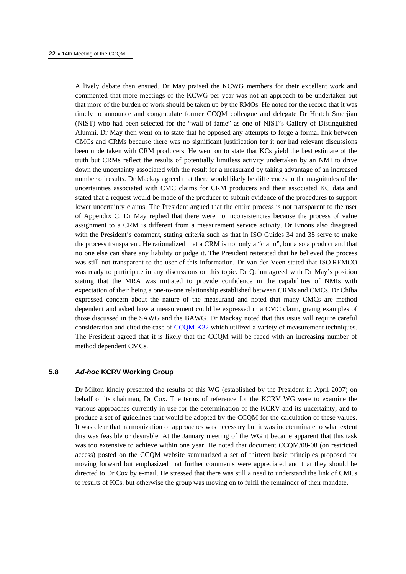A lively debate then ensued. Dr May praised the KCWG members for their excellent work and commented that more meetings of the KCWG per year was not an approach to be undertaken but that more of the burden of work should be taken up by the RMOs. He noted for the record that it was timely to announce and congratulate former CCQM colleague and delegate Dr Hratch Smerjian (NIST) who had been selected for the "wall of fame" as one of NIST's Gallery of Distinguished Alumni. Dr May then went on to state that he opposed any attempts to forge a formal link between CMCs and CRMs because there was no significant justification for it nor had relevant discussions been undertaken with CRM producers. He went on to state that KCs yield the best estimate of the truth but CRMs reflect the results of potentially limitless activity undertaken by an NMI to drive down the uncertainty associated with the result for a measurand by taking advantage of an increased number of results. Dr Mackay agreed that there would likely be differences in the magnitudes of the uncertainties associated with CMC claims for CRM producers and their associated KC data and stated that a request would be made of the producer to submit evidence of the procedures to support lower uncertainty claims. The President argued that the entire process is not transparent to the user of Appendix C. Dr May replied that there were no inconsistencies because the process of value assignment to a CRM is different from a measurement service activity. Dr Emons also disagreed with the President's comment, stating criteria such as that in ISO Guides 34 and 35 serve to make the process transparent. He rationalized that a CRM is not only a "claim", but also a product and that no one else can share any liability or judge it. The President reiterated that he believed the process was still not transparent to the user of this information. Dr van der Veen stated that ISO REMCO was ready to participate in any discussions on this topic. Dr Quinn agreed with Dr May's position stating that the MRA was initiated to provide confidence in the capabilities of NMIs with expectation of their being a one-to-one relationship established between CRMs and CMCs. Dr Chiba expressed concern about the nature of the measurand and noted that many CMCs are method dependent and asked how a measurement could be expressed in a CMC claim, giving examples of those discussed in the SAWG and the BAWG. Dr Mackay noted that this issue will require careful consideration and cited the cas[e of CCQM-K32 whic](http://kcdb.bipm.org/AppendixB/KCDB_ApB_info.asp?cmp_idy=550&cmp_cod=CCQM%2DK32&page=)h utilized a variety of measurement techniques. The President agreed that it is likely that the CCQM will be faced with an increasing number of method dependent CMCs.

# **5.8** *Ad-hoc* **KCRV Working Group**

Dr Milton kindly presented the results of this WG (established by the President in April 2007) on behalf of its chairman, Dr Cox. The terms of reference for the KCRV WG were to examine the various approaches currently in use for the determination of the KCRV and its uncertainty, and to produce a set of guidelines that would be adopted by the CCQM for the calculation of these values. It was clear that harmonization of approaches was necessary but it was indeterminate to what extent this was feasible or desirable. At the January meeting of the WG it became apparent that this task was too extensive to achieve within one year. He noted that document CCQM/08-08 (on restricted access) posted on the CCQM website summarized a set of thirteen basic principles proposed for moving forward but emphasized that further comments were appreciated and that they should be directed to Dr Cox by e-mail. He stressed that there was still a need to understand the link of CMCs to results of KCs, but otherwise the group was moving on to fulfil the remainder of their mandate.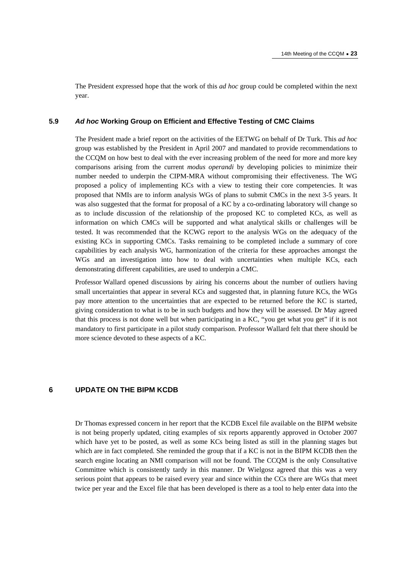The President expressed hope that the work of this *ad hoc* group could be completed within the next year.

#### **5.9** *Ad hoc* **Working Group on Efficient and Effective Testing of CMC Claims**

The President made a brief report on the activities of the EETWG on behalf of Dr Turk. This *ad hoc* group was established by the President in April 2007 and mandated to provide recommendations to the CCQM on how best to deal with the ever increasing problem of the need for more and more key comparisons arising from the current *modus operandi* by developing policies to minimize their number needed to underpin the CIPM-MRA without compromising their effectiveness. The WG proposed a policy of implementing KCs with a view to testing their core competencies. It was proposed that NMIs are to inform analysis WGs of plans to submit CMCs in the next 3-5 years. It was also suggested that the format for proposal of a KC by a co-ordinating laboratory will change so as to include discussion of the relationship of the proposed KC to completed KCs, as well as information on which CMCs will be supported and what analytical skills or challenges will be tested. It was recommended that the KCWG report to the analysis WGs on the adequacy of the existing KCs in supporting CMCs. Tasks remaining to be completed include a summary of core capabilities by each analysis WG, harmonization of the criteria for these approaches amongst the WGs and an investigation into how to deal with uncertainties when multiple KCs, each demonstrating different capabilities, are used to underpin a CMC.

Professor Wallard opened discussions by airing his concerns about the number of outliers having small uncertainties that appear in several KCs and suggested that, in planning future KCs, the WGs pay more attention to the uncertainties that are expected to be returned before the KC is started, giving consideration to what is to be in such budgets and how they will be assessed. Dr May agreed that this process is not done well but when participating in a KC, "you get what you get" if it is not mandatory to first participate in a pilot study comparison. Professor Wallard felt that there should be more science devoted to these aspects of a KC.

## **6 UPDATE ON THE BIPM KCDB**

Dr Thomas expressed concern in her report that the KCDB Excel file available on the BIPM website is not being properly updated, citing examples of six reports apparently approved in October 2007 which have yet to be posted, as well as some KCs being listed as still in the planning stages but which are in fact completed. She reminded the group that if a KC is not in the BIPM KCDB then the search engine locating an NMI comparison will not be found. The CCQM is the only Consultative Committee which is consistently tardy in this manner. Dr Wielgosz agreed that this was a very serious point that appears to be raised every year and since within the CCs there are WGs that meet twice per year and the Excel file that has been developed is there as a tool to help enter data into the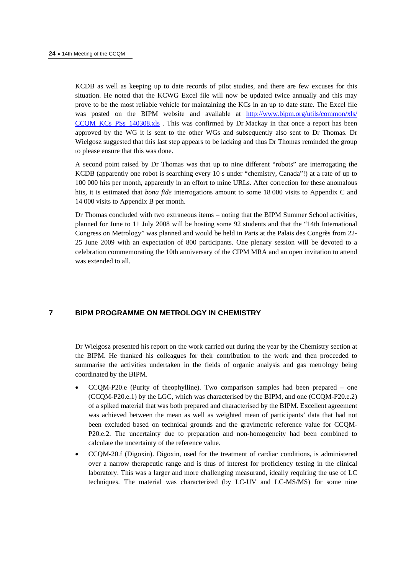KCDB as well as keeping up to date records of pilot studies, and there are few excuses for this situation. He noted that the KCWG Excel file will now be updated twice annually and this may prove to be the most reliable vehicle for maintaining the KCs in an up to date state. The Excel file was posted on the BIPM website and available at http://www.bipm.org/utils/common/xls/ [CCQM\\_KCs\\_PSs\\_140308.xls . Th](https://www.bipm.org/utils/common/xls/CCQM_KCs_PSs_140308.xls)is was confirmed by Dr Mackay in that once a report has been approved by the WG it is sent to the other WGs and subsequently also sent to Dr Thomas. Dr Wielgosz suggested that this last step appears to be lacking and thus Dr Thomas reminded the group to please ensure that this was done.

A second point raised by Dr Thomas was that up to nine different "robots" are interrogating the KCDB (apparently one robot is searching every 10 s under "chemistry, Canada"!) at a rate of up to 100 000 hits per month, apparently in an effort to mine URLs. After correction for these anomalous hits, it is estimated that *bona fide* interrogations amount to some 18 000 visits to Appendix C and 14 000 visits to Appendix B per month.

Dr Thomas concluded with two extraneous items – noting that the BIPM Summer School activities, planned for June to 11 July 2008 will be hosting some 92 students and that the "14th International Congress on Metrology" was planned and would be held in Paris at the Palais des Congrès from 22- 25 June 2009 with an expectation of 800 participants. One plenary session will be devoted to a celebration commemorating the 10th anniversary of the CIPM MRA and an open invitation to attend was extended to all.

# **7 BIPM PROGRAMME ON METROLOGY IN CHEMISTRY**

Dr Wielgosz presented his report on the work carried out during the year by the Chemistry section at the BIPM. He thanked his colleagues for their contribution to the work and then proceeded to summarise the activities undertaken in the fields of organic analysis and gas metrology being coordinated by the BIPM.

- $CCQM-P20.e$  (Purity of theophylline). Two comparison samples had been prepared one (CCQM-P20.e.1) by the LGC, which was characterised by the BIPM, and one (CCQM-P20.e.2) of a spiked material that was both prepared and characterised by the BIPM. Excellent agreement was achieved between the mean as well as weighted mean of participants' data that had not been excluded based on technical grounds and the gravimetric reference value for CCQM-P20.e.2. The uncertainty due to preparation and non-homogeneity had been combined to calculate the uncertainty of the reference value.
- CCQM-20.f (Digoxin). Digoxin, used for the treatment of cardiac conditions, is administered over a narrow therapeutic range and is thus of interest for proficiency testing in the clinical laboratory. This was a larger and more challenging measurand, ideally requiring the use of LC techniques. The material was characterized (by LC-UV and LC-MS/MS) for some nine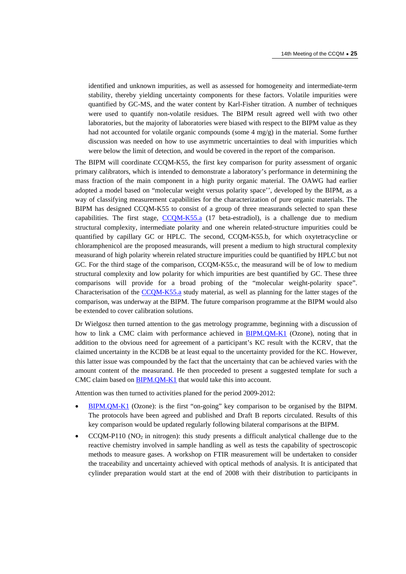identified and unknown impurities, as well as assessed for homogeneity and intermediate-term stability, thereby yielding uncertainty components for these factors. Volatile impurities were quantified by GC-MS, and the water content by Karl-Fisher titration. A number of techniques were used to quantify non-volatile residues. The BIPM result agreed well with two other laboratories, but the majority of laboratories were biased with respect to the BIPM value as they had not accounted for volatile organic compounds (some  $4 \text{ mg/g}$ ) in the material. Some further discussion was needed on how to use asymmetric uncertainties to deal with impurities which were below the limit of detection, and would be covered in the report of the comparison.

The BIPM will coordinate CCQM-K55, the first key comparison for purity assessment of organic primary calibrators, which is intended to demonstrate a laboratory's performance in determining the mass fraction of the main component in a high purity organic material. The OAWG had earlier adopted a model based on "molecular weight versus polarity space'', developed by the BIPM, as a way of classifying measurement capabilities for the characterization of pure organic materials. The BIPM has designed CCQM-K55 to consist of a group of three measurands selected to span these capabilities. The first sta[ge, CCQM-K55.a \(17](http://kcdb.bipm.org/AppendixB/KCDB_ApB_info.asp?cmp_idy=823&cmp_cod=CCQM%2DK55%2Ea&page=) beta-estradiol), is a challenge due to medium structural complexity, intermediate polarity and one wherein related-structure impurities could be quantified by capillary GC or HPLC. The second, CCQM-K55.b, for which oxytetracycline or chloramphenicol are the proposed measurands, will present a medium to high structural complexity measurand of high polarity wherein related structure impurities could be quantified by HPLC but not GC. For the third stage of the comparison, CCQM-K55.c, the measurand will be of low to medium structural complexity and low polarity for which impurities are best quantified by GC. These three comparisons will provide for a broad probing of the "molecular weight-polarity space". Characterisation of [the CCQM-K55.a study](http://kcdb.bipm.org/AppendixB/KCDB_ApB_info.asp?cmp_idy=823&cmp_cod=CCQM%2DK55%2Ea&page=) material, as well as planning for the latter stages of the comparison, was underway at the BIPM. The future comparison programme at the BIPM would also be extended to cover calibration solutions.

Dr Wielgosz then turned attention to the gas metrology programme, beginning with a discussion of how to link a CMC claim with performance achieved [in BIPM.QM-K1 \(O](http://kcdb.bipm.org/AppendixB/KCDB_ApB_info.asp?cmp_idy=733&cmp_cod=BIPM%2EQM%2DK1&page=)zone), noting that in addition to the obvious need for agreement of a participant's KC result with the KCRV, that the claimed uncertainty in the KCDB be at least equal to the uncertainty provided for the KC. However, this latter issue was compounded by the fact that the uncertainty that can be achieved varies with the amount content of the measurand. He then proceeded to present a suggested template for such a CMC claim b[ased on BIPM.QM-K1 that w](http://kcdb.bipm.org/AppendixB/KCDB_ApB_info.asp?cmp_idy=733&cmp_cod=BIPM%2EQM%2DK1&page=)ould take this into account.

Attention was then turned to activities planed for the period 2009-2012:

- [BIPM.QM-K1 \(Ozon](http://kcdb.bipm.org/AppendixB/KCDB_ApB_info.asp?cmp_idy=733&cmp_cod=BIPM%2EQM%2DK1&page=)e): is the first "on-going" key comparison to be organised by the BIPM. The protocols have been agreed and published and Draft B reports circulated. Results of this key comparison would be updated regularly following bilateral comparisons at the BIPM.
- $CCQM-P110 (NO<sub>2</sub> in nitrogen): this study presents a difficult analytical challenge due to the$ reactive chemistry involved in sample handling as well as tests the capability of spectroscopic methods to measure gases. A workshop on FTIR measurement will be undertaken to consider the traceability and uncertainty achieved with optical methods of analysis. It is anticipated that cylinder preparation would start at the end of 2008 with their distribution to participants in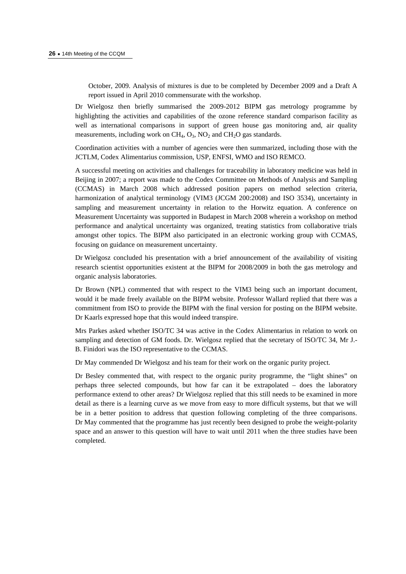October, 2009. Analysis of mixtures is due to be completed by December 2009 and a Draft A report issued in April 2010 commensurate with the workshop.

Dr Wielgosz then briefly summarised the 2009-2012 BIPM gas metrology programme by highlighting the activities and capabilities of the ozone reference standard comparison facility as well as international comparisons in support of green house gas monitoring and, air quality measurements, including work on  $CH_4$ ,  $O_3$ ,  $NO_2$  and  $CH_2O$  gas standards.

Coordination activities with a number of agencies were then summarized, including those with the JCTLM, Codex Alimentarius commission, USP, ENFSI, WMO and ISO REMCO.

A successful meeting on activities and challenges for traceability in laboratory medicine was held in Beijing in 2007; a report was made to the Codex Committee on Methods of Analysis and Sampling (CCMAS) in March 2008 which addressed position papers on method selection criteria, harmonization of analytical terminology (VIM3 (JCGM 200:2008) and ISO 3534), uncertainty in sampling and measurement uncertainty in relation to the Horwitz equation. A conference on Measurement Uncertainty was supported in Budapest in March 2008 wherein a workshop on method performance and analytical uncertainty was organized, treating statistics from collaborative trials amongst other topics. The BIPM also participated in an electronic working group with CCMAS, focusing on guidance on measurement uncertainty.

Dr Wielgosz concluded his presentation with a brief announcement of the availability of visiting research scientist opportunities existent at the BIPM for 2008/2009 in both the gas metrology and organic analysis laboratories.

Dr Brown (NPL) commented that with respect to the VIM3 being such an important document, would it be made freely available on the BIPM website. Professor Wallard replied that there was a commitment from ISO to provide the BIPM with the final version for posting on the BIPM website. Dr Kaarls expressed hope that this would indeed transpire.

Mrs Parkes asked whether ISO/TC 34 was active in the Codex Alimentarius in relation to work on sampling and detection of GM foods. Dr. Wielgosz replied that the secretary of ISO/TC 34, Mr J.- B. Finidori was the ISO representative to the CCMAS.

Dr May commended Dr Wielgosz and his team for their work on the organic purity project.

Dr Besley commented that, with respect to the organic purity programme, the "light shines" on perhaps three selected compounds, but how far can it be extrapolated – does the laboratory performance extend to other areas? Dr Wielgosz replied that this still needs to be examined in more detail as there is a learning curve as we move from easy to more difficult systems, but that we will be in a better position to address that question following completing of the three comparisons. Dr May commented that the programme has just recently been designed to probe the weight-polarity space and an answer to this question will have to wait until 2011 when the three studies have been completed.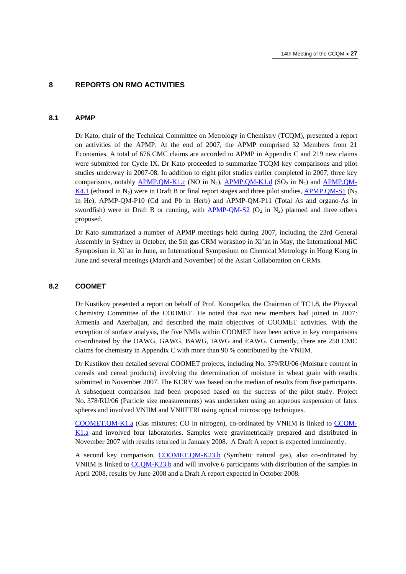#### **8 REPORTS ON RMO ACTIVITIES**

# **8.1 APMP**

Dr Kato, chair of the Technical Committee on Metrology in Chemistry (TCQM), presented a report on activities of the APMP. At the end of 2007, the APMP comprised 32 Members from 21 Economies. A total of 676 CMC claims are accorded to APMP in Appendix C and 219 new claims were submitted for Cycle IX. Dr Kato proceeded to summarize TCQM key comparisons and pilot studies underway in 2007-08. In addition to eight pilot studies earlier completed in 2007, three key comparisons, notably  $\overline{APMP.QM-K1.c}$  (NO in N<sub>2</sub>),  $\overline{APMP.QM-K1.d}$  (SO<sub>2</sub> in N<sub>2</sub>) and  $\overline{APMP.QM-A}$ [K4.1 \(et](http://kcdb.bipm.org/AppendixB/KCDB_ApB_info.asp?cmp_idy=820&cmp_cod=APMP%2EQM%2DK4%2E1&page=)hanol in N<sub>2</sub>) were in Draft B or final report stages and three pilot studies, APMP.OM-S1 (N<sub>2</sub>) in He), APMP-QM-P10 (Cd and Pb in Herb) and APMP-QM-P11 (Total As and organo-As in swordfish) were in Draft B or running, with  $\triangle PMP-QM-S2$  (O<sub>2</sub> in N<sub>2</sub>) planned and three others proposed.

Dr Kato summarized a number of APMP meetings held during 2007, including the 23rd General Assembly in Sydney in October, the 5th gas CRM workshop in Xi'an in May, the International MiC Symposium in Xi'an in June, an International Symposium on Chemical Metrology in Hong Kong in June and several meetings (March and November) of the Asian Collaboration on CRMs.

#### **8.2 COOMET**

Dr Kustikov presented a report on behalf of Prof. Konopelko, the Chairman of TC1.8, the Physical Chemistry Committee of the COOMET. He noted that two new members had joined in 2007: Armenia and Azerbaijan, and described the main objectives of COOMET activities. With the exception of surface analysis, the five NMIs within COOMET have been active in key comparisons co-ordinated by the OAWG, GAWG, BAWG, IAWG and EAWG. Currently, there are 250 CMC claims for chemistry in Appendix C with more than 90 % contributed by the VNIIM.

Dr Kustikov then detailed several COOMET projects, including No. 379/RU/06 (Moisture content in cereals and cereal products) involving the determination of moisture in wheat grain with results submitted in November 2007. The KCRV was based on the median of results from five participants. A subsequent comparison had been proposed based on the success of the pilot study. Project No. 378/RU/06 (Particle size measurements) was undertaken using an aqueous suspension of latex spheres and involved VNIIM and VNIIFTRI using optical microscopy techniques.

[COOMET.QM-K1.a \(Ga](http://kcdb.bipm.org/AppendixB/KCDB_ApB_info.asp?cmp_idy=864&cmp_cod=COOMET%2EQM%2DK1%2Ea&page=)s mixtures: CO in nitrogen), co-ordinated by VNIIM is link[ed to CCQM-](http://kcdb.bipm.org/AppendixB/KCDB_ApB_info.asp?cmp_idy=864&cmp_cod=COOMET%2EQM%2DK1%2Ea&page=)[K1.a a](http://kcdb.bipm.org/AppendixB/KCDB_ApB_info.asp?cmp_idy=864&cmp_cod=COOMET%2EQM%2DK1%2Ea&page=)nd involved four laboratories. Samples were gravimetrically prepared and distributed in November 2007 with results returned in January 2008. A Draft A report is expected imminently.

A second key compariso[n, COOMET.QM-K23.b \(Sy](http://kcdb.bipm.org/AppendixB/KCDB_ApB_info.asp?cmp_idy=865&cmp_cod=COOMET%2EQM%2DK23%2Eb&page=)nthetic natural gas), also co-ordinated by VNIIM is linked t[o CCQM-K23.b a](http://kcdb.bipm.org/AppendixB/KCDB_ApB_info.asp?cmp_idy=776&cmp_cod=CCQM%2DK23%2Eb&page=)nd will involve 6 participants with distribution of the samples in April 2008, results by June 2008 and a Draft A report expected in October 2008.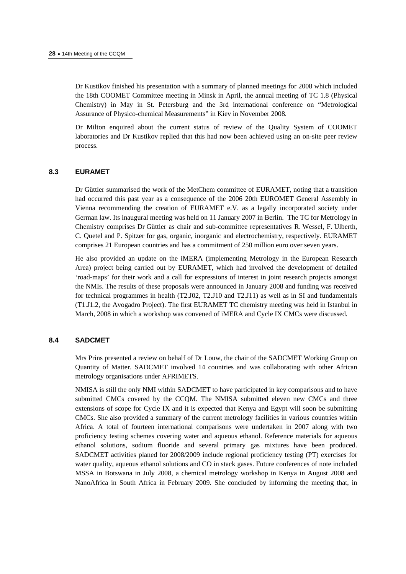Dr Kustikov finished his presentation with a summary of planned meetings for 2008 which included the 18th COOMET Committee meeting in Minsk in April, the annual meeting of TC 1.8 (Physical Chemistry) in May in St. Petersburg and the 3rd international conference on "Metrological Assurance of Physico-chemical Measurements" in Kiev in November 2008.

Dr Milton enquired about the current status of review of the Quality System of COOMET laboratories and Dr Kustikov replied that this had now been achieved using an on-site peer review process.

#### **8.3 EURAMET**

Dr Güttler summarised the work of the MetChem committee of EURAMET, noting that a transition had occurred this past year as a consequence of the 2006 20th EUROMET General Assembly in Vienna recommending the creation of EURAMET e.V. as a legally incorporated society under German law. Its inaugural meeting was held on 11 January 2007 in Berlin. The TC for Metrology in Chemistry comprises Dr Güttler as chair and sub-committee representatives R. Wessel, F. Ulberth, C. Quetel and P. Spitzer for gas, organic, inorganic and electrochemistry, respectively. EURAMET comprises 21 European countries and has a commitment of 250 million euro over seven years.

He also provided an update on the iMERA (implementing Metrology in the European Research Area) project being carried out by EURAMET, which had involved the development of detailed 'road-maps' for their work and a call for expressions of interest in joint research projects amongst the NMIs. The results of these proposals were announced in January 2008 and funding was received for technical programmes in health (T2.J02, T2.J10 and T2.J11) as well as in SI and fundamentals (T1.J1.2, the Avogadro Project). The first EURAMET TC chemistry meeting was held in Istanbul in March, 2008 in which a workshop was convened of iMERA and Cycle IX CMCs were discussed.

#### **8.4 SADCMET**

Mrs Prins presented a review on behalf of Dr Louw, the chair of the SADCMET Working Group on Quantity of Matter. SADCMET involved 14 countries and was collaborating with other African metrology organisations under AFRIMETS.

NMISA is still the only NMI within SADCMET to have participated in key comparisons and to have submitted CMCs covered by the CCQM. The NMISA submitted eleven new CMCs and three extensions of scope for Cycle IX and it is expected that Kenya and Egypt will soon be submitting CMCs. She also provided a summary of the current metrology facilities in various countries within Africa. A total of fourteen international comparisons were undertaken in 2007 along with two proficiency testing schemes covering water and aqueous ethanol. Reference materials for aqueous ethanol solutions, sodium fluoride and several primary gas mixtures have been produced. SADCMET activities planed for 2008/2009 include regional proficiency testing (PT) exercises for water quality, aqueous ethanol solutions and CO in stack gases. Future conferences of note included MSSA in Botswana in July 2008, a chemical metrology workshop in Kenya in August 2008 and NanoAfrica in South Africa in February 2009. She concluded by informing the meeting that, in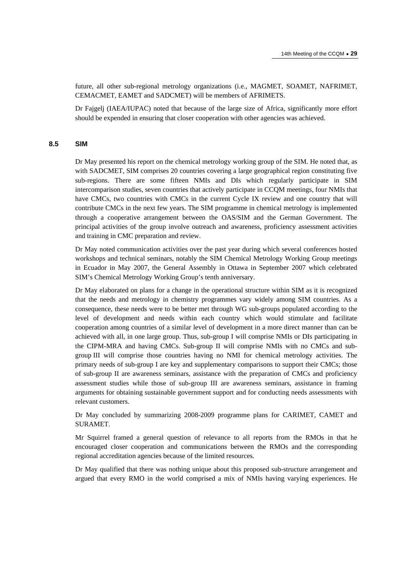future, all other sub-regional metrology organizations (i.e., MAGMET, SOAMET, NAFRIMET, CEMACMET, EAMET and SADCMET) will be members of AFRIMETS.

Dr Fajgelj (IAEA/IUPAC) noted that because of the large size of Africa, significantly more effort should be expended in ensuring that closer cooperation with other agencies was achieved.

#### **8.5 SIM**

Dr May presented his report on the chemical metrology working group of the SIM. He noted that, as with SADCMET, SIM comprises 20 countries covering a large geographical region constituting five sub-regions. There are some fifteen NMIs and DIs which regularly participate in SIM intercomparison studies, seven countries that actively participate in CCQM meetings, four NMIs that have CMCs, two countries with CMCs in the current Cycle IX review and one country that will contribute CMCs in the next few years. The SIM programme in chemical metrology is implemented through a cooperative arrangement between the OAS/SIM and the German Government. The principal activities of the group involve outreach and awareness, proficiency assessment activities and training in CMC preparation and review.

Dr May noted communication activities over the past year during which several conferences hosted workshops and technical seminars, notably the SIM Chemical Metrology Working Group meetings in Ecuador in May 2007, the General Assembly in Ottawa in September 2007 which celebrated SIM's Chemical Metrology Working Group's tenth anniversary.

Dr May elaborated on plans for a change in the operational structure within SIM as it is recognized that the needs and metrology in chemistry programmes vary widely among SIM countries. As a consequence, these needs were to be better met through WG sub-groups populated according to the level of development and needs within each country which would stimulate and facilitate cooperation among countries of a similar level of development in a more direct manner than can be achieved with all, in one large group. Thus, sub-group I will comprise NMIs or DIs participating in the CIPM-MRA and having CMCs. Sub-group II will comprise NMIs with no CMCs and subgroup III will comprise those countries having no NMI for chemical metrology activities. The primary needs of sub-group I are key and supplementary comparisons to support their CMCs; those of sub-group II are awareness seminars, assistance with the preparation of CMCs and proficiency assessment studies while those of sub-group III are awareness seminars, assistance in framing arguments for obtaining sustainable government support and for conducting needs assessments with relevant customers.

Dr May concluded by summarizing 2008-2009 programme plans for CARIMET, CAMET and SURAMET.

Mr Squirrel framed a general question of relevance to all reports from the RMOs in that he encouraged closer cooperation and communications between the RMOs and the corresponding regional accreditation agencies because of the limited resources.

Dr May qualified that there was nothing unique about this proposed sub-structure arrangement and argued that every RMO in the world comprised a mix of NMIs having varying experiences. He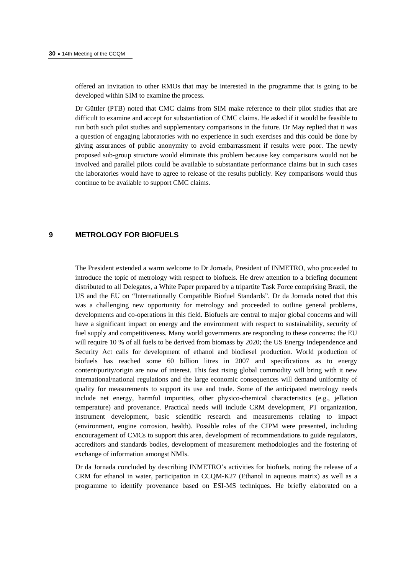offered an invitation to other RMOs that may be interested in the programme that is going to be developed within SIM to examine the process.

Dr Güttler (PTB) noted that CMC claims from SIM make reference to their pilot studies that are difficult to examine and accept for substantiation of CMC claims. He asked if it would be feasible to run both such pilot studies and supplementary comparisons in the future. Dr May replied that it was a question of engaging laboratories with no experience in such exercises and this could be done by giving assurances of public anonymity to avoid embarrassment if results were poor. The newly proposed sub-group structure would eliminate this problem because key comparisons would not be involved and parallel pilots could be available to substantiate performance claims but in such cases the laboratories would have to agree to release of the results publicly. Key comparisons would thus continue to be available to support CMC claims.

# **9 METROLOGY FOR BIOFUELS**

The President extended a warm welcome to Dr Jornada, President of INMETRO, who proceeded to introduce the topic of metrology with respect to biofuels. He drew attention to a briefing document distributed to all Delegates, a White Paper prepared by a tripartite Task Force comprising Brazil, the US and the EU on "Internationally Compatible Biofuel Standards". Dr da Jornada noted that this was a challenging new opportunity for metrology and proceeded to outline general problems, developments and co-operations in this field. Biofuels are central to major global concerns and will have a significant impact on energy and the environment with respect to sustainability, security of fuel supply and competitiveness. Many world governments are responding to these concerns: the EU will require 10 % of all fuels to be derived from biomass by 2020; the US Energy Independence and Security Act calls for development of ethanol and biodiesel production. World production of biofuels has reached some 60 billion litres in 2007 and specifications as to energy content/purity/origin are now of interest. This fast rising global commodity will bring with it new international/national regulations and the large economic consequences will demand uniformity of quality for measurements to support its use and trade. Some of the anticipated metrology needs include net energy, harmful impurities, other physico-chemical characteristics (e.g., jellation temperature) and provenance. Practical needs will include CRM development, PT organization, instrument development, basic scientific research and measurements relating to impact (environment, engine corrosion, health). Possible roles of the CIPM were presented, including encouragement of CMCs to support this area, development of recommendations to guide regulators, accreditors and standards bodies, development of measurement methodologies and the fostering of exchange of information amongst NMIs.

Dr da Jornada concluded by describing INMETRO's activities for biofuels, noting the release of a CRM for ethanol in water, participation in CCQM-K27 (Ethanol in aqueous matrix) as well as a programme to identify provenance based on ESI-MS techniques. He briefly elaborated on a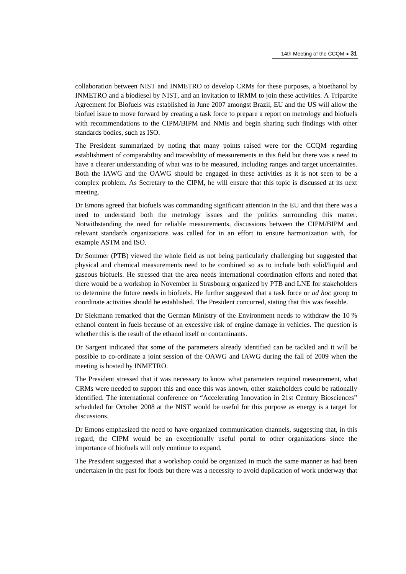collaboration between NIST and INMETRO to develop CRMs for these purposes, a bioethanol by INMETRO and a biodiesel by NIST, and an invitation to IRMM to join these activities. A Tripartite Agreement for Biofuels was established in June 2007 amongst Brazil, EU and the US will allow the biofuel issue to move forward by creating a task force to prepare a report on metrology and biofuels with recommendations to the CIPM/BIPM and NMIs and begin sharing such findings with other standards bodies, such as ISO.

The President summarized by noting that many points raised were for the CCQM regarding establishment of comparability and traceability of measurements in this field but there was a need to have a clearer understanding of what was to be measured, including ranges and target uncertainties. Both the IAWG and the OAWG should be engaged in these activities as it is not seen to be a complex problem. As Secretary to the CIPM, he will ensure that this topic is discussed at its next meeting.

Dr Emons agreed that biofuels was commanding significant attention in the EU and that there was a need to understand both the metrology issues and the politics surrounding this matter. Notwithstanding the need for reliable measurements, discussions between the CIPM/BIPM and relevant standards organizations was called for in an effort to ensure harmonization with, for example ASTM and ISO.

Dr Sommer (PTB) viewed the whole field as not being particularly challenging but suggested that physical and chemical measurements need to be combined so as to include both solid/liquid and gaseous biofuels. He stressed that the area needs international coordination efforts and noted that there would be a workshop in November in Strasbourg organized by PTB and LNE for stakeholders to determine the future needs in biofuels. He further suggested that a task force or *ad hoc* group to coordinate activities should be established. The President concurred, stating that this was feasible.

Dr Siekmann remarked that the German Ministry of the Environment needs to withdraw the 10 % ethanol content in fuels because of an excessive risk of engine damage in vehicles. The question is whether this is the result of the ethanol itself or contaminants.

Dr Sargent indicated that some of the parameters already identified can be tackled and it will be possible to co-ordinate a joint session of the OAWG and IAWG during the fall of 2009 when the meeting is hosted by INMETRO.

The President stressed that it was necessary to know what parameters required measurement, what CRMs were needed to support this and once this was known, other stakeholders could be rationally identified. The international conference on "Accelerating Innovation in 21st Century Biosciences" scheduled for October 2008 at the NIST would be useful for this purpose as energy is a target for discussions.

Dr Emons emphasized the need to have organized communication channels, suggesting that, in this regard, the CIPM would be an exceptionally useful portal to other organizations since the importance of biofuels will only continue to expand.

The President suggested that a workshop could be organized in much the same manner as had been undertaken in the past for foods but there was a necessity to avoid duplication of work underway that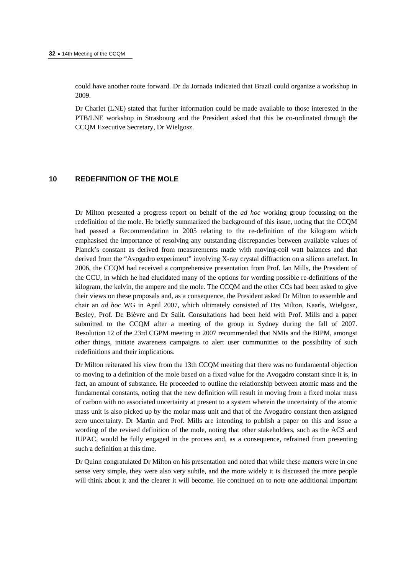could have another route forward. Dr da Jornada indicated that Brazil could organize a workshop in 2009.

Dr Charlet (LNE) stated that further information could be made available to those interested in the PTB/LNE workshop in Strasbourg and the President asked that this be co-ordinated through the CCQM Executive Secretary, Dr Wielgosz.

# **10 REDEFINITION OF THE MOLE**

Dr Milton presented a progress report on behalf of the *ad hoc* working group focussing on the redefinition of the mole. He briefly summarized the background of this issue, noting that the CCQM had passed a Recommendation in 2005 relating to the re-definition of the kilogram which emphasised the importance of resolving any outstanding discrepancies between available values of Planck's constant as derived from measurements made with moving-coil watt balances and that derived from the "Avogadro experiment" involving X-ray crystal diffraction on a silicon artefact. In 2006, the CCQM had received a comprehensive presentation from Prof. Ian Mills, the President of the CCU, in which he had elucidated many of the options for wording possible re-definitions of the kilogram, the kelvin, the ampere and the mole. The CCQM and the other CCs had been asked to give their views on these proposals and, as a consequence, the President asked Dr Milton to assemble and chair an *ad hoc* WG in April 2007, which ultimately consisted of Drs Milton, Kaarls, Wielgosz, Besley, Prof. De Bièvre and Dr Salit. Consultations had been held with Prof. Mills and a paper submitted to the CCQM after a meeting of the group in Sydney during the fall of 2007. Resolution 12 of the 23rd CGPM meeting in 2007 recommended that NMIs and the BIPM, amongst other things, initiate awareness campaigns to alert user communities to the possibility of such redefinitions and their implications.

Dr Milton reiterated his view from the 13th CCQM meeting that there was no fundamental objection to moving to a definition of the mole based on a fixed value for the Avogadro constant since it is, in fact, an amount of substance. He proceeded to outline the relationship between atomic mass and the fundamental constants, noting that the new definition will result in moving from a fixed molar mass of carbon with no associated uncertainty at present to a system wherein the uncertainty of the atomic mass unit is also picked up by the molar mass unit and that of the Avogadro constant then assigned zero uncertainty. Dr Martin and Prof. Mills are intending to publish a paper on this and issue a wording of the revised definition of the mole, noting that other stakeholders, such as the ACS and IUPAC, would be fully engaged in the process and, as a consequence, refrained from presenting such a definition at this time.

Dr Quinn congratulated Dr Milton on his presentation and noted that while these matters were in one sense very simple, they were also very subtle, and the more widely it is discussed the more people will think about it and the clearer it will become. He continued on to note one additional important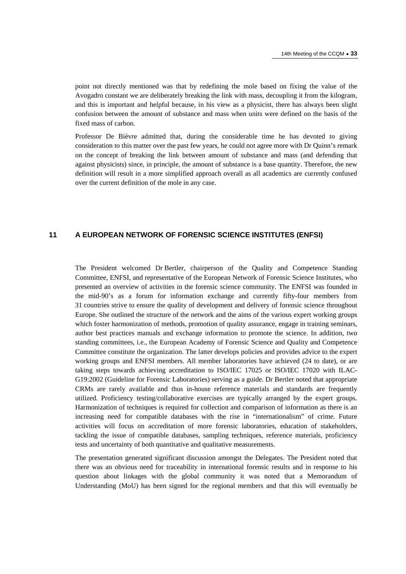point not directly mentioned was that by redefining the mole based on fixing the value of the Avogadro constant we are deliberately breaking the link with mass, decoupling it from the kilogram, and this is important and helpful because, in his view as a physicist, there has always been slight confusion between the amount of substance and mass when units were defined on the basis of the fixed mass of carbon.

Professor De Bièvre admitted that, during the considerable time he has devoted to giving consideration to this matter over the past few years, he could not agree more with Dr Quinn's remark on the concept of breaking the link between amount of substance and mass (and defending that against physicists) since, in principle, the amount of substance is a base quantity. Therefore, the new definition will result in a more simplified approach overall as all academics are currently confused over the current definition of the mole in any case.

# **11 A EUROPEAN NETWORK OF FORENSIC SCIENCE INSTITUTES (ENFSI)**

The President welcomed Dr Bertler, chairperson of the Quality and Competence Standing Committee, ENFSI, and representative of the European Network of Forensic Science Institutes, who presented an overview of activities in the forensic science community. The ENFSI was founded in the mid-90's as a forum for information exchange and currently fifty-four members from 31 countries strive to ensure the quality of development and delivery of forensic science throughout Europe. She outlined the structure of the network and the aims of the various expert working groups which foster harmonization of methods, promotion of quality assurance, engage in training seminars, author best practices manuals and exchange information to promote the science. In addition, two standing committees, i.e., the European Academy of Forensic Science and Quality and Competence Committee constitute the organization. The latter develops policies and provides advice to the expert working groups and ENFSI members. All member laboratories have achieved (24 to date), or are taking steps towards achieving accreditation to ISO/IEC 17025 or ISO/IEC 17020 with ILAC-G19:2002 (Guideline for Forensic Laboratories) serving as a guide. Dr Bertler noted that appropriate CRMs are rarely available and thus in-house reference materials and standards are frequently utilized. Proficiency testing/collaborative exercises are typically arranged by the expert groups. Harmonization of techniques is required for collection and comparison of information as there is an increasing need for compatible databases with the rise in "internationalism" of crime. Future activities will focus on accreditation of more forensic laboratories, education of stakeholders, tackling the issue of compatible databases, sampling techniques, reference materials, proficiency tests and uncertainty of both quantitative and qualitative measurements.

The presentation generated significant discussion amongst the Delegates. The President noted that there was an obvious need for traceability in international forensic results and in response to his question about linkages with the global community it was noted that a Memorandum of Understanding (MoU) has been signed for the regional members and that this will eventually be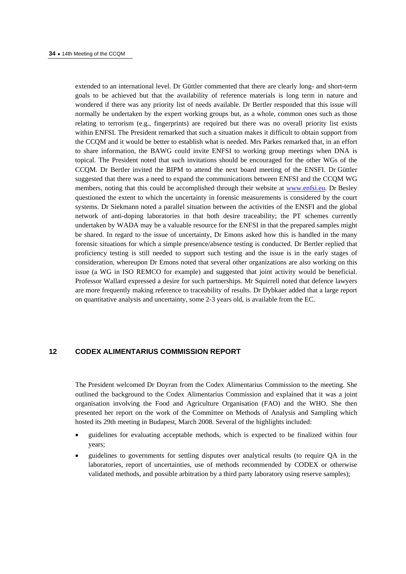extended to an international level. Dr Güttler commented that there are clearly long- and short-term goals to be achieved but that the availability of reference materials is long term in nature and wondered if there was any priority list of needs available. Dr Bertler responded that this issue will normally be undertaken by the expert working groups but, as a whole, common ones such as those relating to terrorism (e.g., fingerprints) are required but there was no overall priority list exists within ENFSI. The President remarked that such a situation makes it difficult to obtain support from the CCQM and it would be better to establish what is needed. Mrs Parkes remarked that, in an effort to share information, the BAWG could invite ENFSI to working group meetings when DNA is topical. The President noted that such invitations should be encouraged for the other WGs of the CCQM. Dr Bertler invited the BIPM to attend the next board meeting of the ENSFI. Dr Güttler suggested that there was a need to expand the communications between ENFSI and the CCQM WG members, noting that this could be accomplished through their websit[e at www.enfsi.eu. Dr B](www.enfsi.eu)esley questioned the extent to which the uncertainty in forensic measurements is considered by the court systems. Dr Siekmann noted a parallel situation between the activities of the ENSFI and the global network of anti-doping laboratories in that both desire traceability; the PT schemes currently undertaken by WADA may be a valuable resource for the ENFSI in that the prepared samples might be shared. In regard to the issue of uncertainty, Dr Emons asked how this is handled in the many forensic situations for which a simple presence/absence testing is conducted. Dr Bertler replied that proficiency testing is still needed to support such testing and the issue is in the early stages of consideration, whereupon Dr Emons noted that several other organizations are also working on this issue (a WG in ISO REMCO for example) and suggested that joint activity would be beneficial. Professor Wallard expressed a desire for such partnerships. Mr Squirrell noted that defence lawyers are more frequently making reference to traceability of results. Dr Dybkaer added that a large report on quantitative analysis and uncertainty, some 2-3 years old, is available from the EC.

# **12 CODEX ALIMENTARIUS COMMISSION REPORT**

The President welcomed Dr Doyran from the Codex Alimentarius Commission to the meeting. She outlined the background to the Codex Alimentarius Commission and explained that it was a joint organisation involving the Food and Agriculture Organisation (FAO) and the WHO. She then presented her report on the work of the Committee on Methods of Analysis and Sampling which hosted its 29th meeting in Budapest, March 2008. Several of the highlights included:

- guidelines for evaluating acceptable methods, which is expected to be finalized within four years;
- guidelines to governments for settling disputes over analytical results (to require QA in the laboratories, report of uncertainties, use of methods recommended by CODEX or otherwise validated methods, and possible arbitration by a third party laboratory using reserve samples);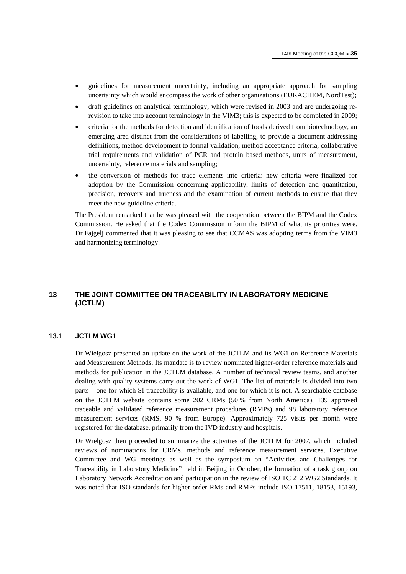- guidelines for measurement uncertainty, including an appropriate approach for sampling uncertainty which would encompass the work of other organizations (EURACHEM, NordTest);
- draft guidelines on analytical terminology, which were revised in 2003 and are undergoing rerevision to take into account terminology in the VIM3; this is expected to be completed in 2009;
- criteria for the methods for detection and identification of foods derived from biotechnology, an emerging area distinct from the considerations of labelling, to provide a document addressing definitions, method development to formal validation, method acceptance criteria, collaborative trial requirements and validation of PCR and protein based methods, units of measurement, uncertainty, reference materials and sampling;
- the conversion of methods for trace elements into criteria: new criteria were finalized for adoption by the Commission concerning applicability, limits of detection and quantitation, precision, recovery and trueness and the examination of current methods to ensure that they meet the new guideline criteria.

The President remarked that he was pleased with the cooperation between the BIPM and the Codex Commission. He asked that the Codex Commission inform the BIPM of what its priorities were. Dr Fajgelj commented that it was pleasing to see that CCMAS was adopting terms from the VIM3 and harmonizing terminology.

# **13 THE JOINT COMMITTEE ON TRACEABILITY IN LABORATORY MEDICINE (JCTLM)**

# **13.1 JCTLM WG1**

Dr Wielgosz presented an update on the work of the JCTLM and its WG1 on Reference Materials and Measurement Methods. Its mandate is to review nominated higher-order reference materials and methods for publication in the JCTLM database. A number of technical review teams, and another dealing with quality systems carry out the work of WG1. The list of materials is divided into two parts – one for which SI traceability is available, and one for which it is not. A searchable database on the JCTLM website contains some 202 CRMs (50 % from North America), 139 approved traceable and validated reference measurement procedures (RMPs) and 98 laboratory reference measurement services (RMS, 90 % from Europe). Approximately 725 visits per month were registered for the database, primarily from the IVD industry and hospitals.

Dr Wielgosz then proceeded to summarize the activities of the JCTLM for 2007, which included reviews of nominations for CRMs, methods and reference measurement services, Executive Committee and WG meetings as well as the symposium on "Activities and Challenges for Traceability in Laboratory Medicine" held in Beijing in October, the formation of a task group on Laboratory Network Accreditation and participation in the review of ISO TC 212 WG2 Standards. It was noted that ISO standards for higher order RMs and RMPs include ISO 17511, 18153, 15193,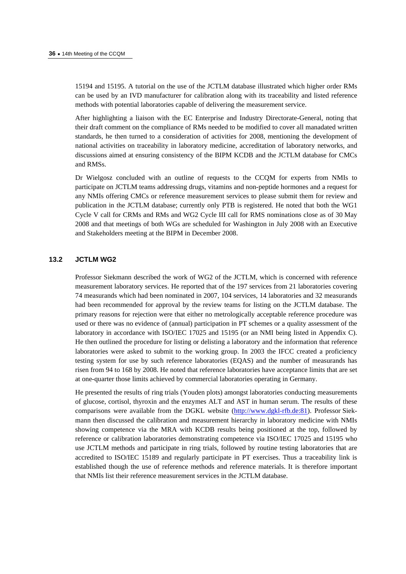15194 and 15195. A tutorial on the use of the JCTLM database illustrated which higher order RMs can be used by an IVD manufacturer for calibration along with its traceability and listed reference methods with potential laboratories capable of delivering the measurement service.

After highlighting a liaison with the EC Enterprise and Industry Directorate-General, noting that their draft comment on the compliance of RMs needed to be modified to cover all manadated written standards, he then turned to a consideration of activities for 2008, mentioning the development of national activities on traceability in laboratory medicine, accreditation of laboratory networks, and discussions aimed at ensuring consistency of the BIPM KCDB and the JCTLM database for CMCs and RMSs.

Dr Wielgosz concluded with an outline of requests to the CCQM for experts from NMIs to participate on JCTLM teams addressing drugs, vitamins and non-peptide hormones and a request for any NMIs offering CMCs or reference measurement services to please submit them for review and publication in the JCTLM database; currently only PTB is registered. He noted that both the WG1 Cycle V call for CRMs and RMs and WG2 Cycle III call for RMS nominations close as of 30 May 2008 and that meetings of both WGs are scheduled for Washington in July 2008 with an Executive and Stakeholders meeting at the BIPM in December 2008.

# **13.2 JCTLM WG2**

Professor Siekmann described the work of WG2 of the JCTLM, which is concerned with reference measurement laboratory services. He reported that of the 197 services from 21 laboratories covering 74 measurands which had been nominated in 2007, 104 services, 14 laboratories and 32 measurands had been recommended for approval by the review teams for listing on the JCTLM database. The primary reasons for rejection were that either no metrologically acceptable reference procedure was used or there was no evidence of (annual) participation in PT schemes or a quality assessment of the laboratory in accordance with ISO/IEC 17025 and 15195 (or an NMI being listed in Appendix C). He then outlined the procedure for listing or delisting a laboratory and the information that reference laboratories were asked to submit to the working group. In 2003 the IFCC created a proficiency testing system for use by such reference laboratories (EQAS) and the number of measurands has risen from 94 to 168 by 2008. He noted that reference laboratories have acceptance limits that are set at one-quarter those limits achieved by commercial laboratories operating in Germany.

He presented the results of ring trials (Youden plots) amongst laboratories conducting measurements of glucose, cortisol, thyroxin and the enzymes ALT and AST in human serum. The results of these comparisons were available from the DGKL webs[ite \(http://www.dgkl-rfb.de:81\). P](http://www.dgkl-rfb.de:81)rofessor Siekmann then discussed the calibration and measurement hierarchy in laboratory medicine with NMIs showing competence via the MRA with KCDB results being positioned at the top, followed by reference or calibration laboratories demonstrating competence via ISO/IEC 17025 and 15195 who use JCTLM methods and participate in ring trials, followed by routine testing laboratories that are accredited to ISO/IEC 15189 and regularly participate in PT exercises. Thus a traceability link is established though the use of reference methods and reference materials. It is therefore important that NMIs list their reference measurement services in the JCTLM database.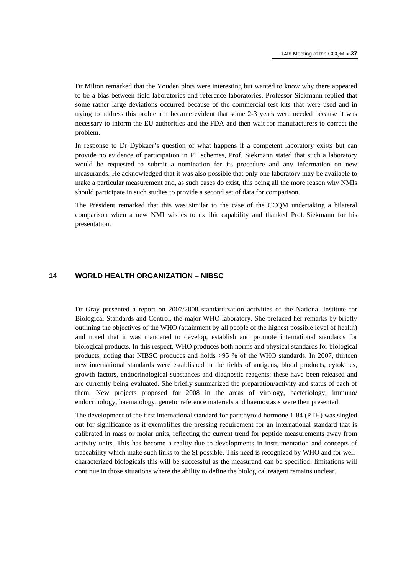Dr Milton remarked that the Youden plots were interesting but wanted to know why there appeared to be a bias between field laboratories and reference laboratories. Professor Siekmann replied that some rather large deviations occurred because of the commercial test kits that were used and in trying to address this problem it became evident that some 2-3 years were needed because it was necessary to inform the EU authorities and the FDA and then wait for manufacturers to correct the problem.

In response to Dr Dybkaer's question of what happens if a competent laboratory exists but can provide no evidence of participation in PT schemes, Prof. Siekmann stated that such a laboratory would be requested to submit a nomination for its procedure and any information on new measurands. He acknowledged that it was also possible that only one laboratory may be available to make a particular measurement and, as such cases do exist, this being all the more reason why NMIs should participate in such studies to provide a second set of data for comparison.

The President remarked that this was similar to the case of the CCQM undertaking a bilateral comparison when a new NMI wishes to exhibit capability and thanked Prof. Siekmann for his presentation.

# **14 WORLD HEALTH ORGANIZATION – NIBSC**

Dr Gray presented a report on 2007/2008 standardization activities of the National Institute for Biological Standards and Control, the major WHO laboratory. She prefaced her remarks by briefly outlining the objectives of the WHO (attainment by all people of the highest possible level of health) and noted that it was mandated to develop, establish and promote international standards for biological products. In this respect, WHO produces both norms and physical standards for biological products, noting that NIBSC produces and holds >95 % of the WHO standards. In 2007, thirteen new international standards were established in the fields of antigens, blood products, cytokines, growth factors, endocrinological substances and diagnostic reagents; these have been released and are currently being evaluated. She briefly summarized the preparation/activity and status of each of them. New projects proposed for 2008 in the areas of virology, bacteriology, immuno/ endocrinology, haematology, genetic reference materials and haemostasis were then presented.

The development of the first international standard for parathyroid hormone 1-84 (PTH) was singled out for significance as it exemplifies the pressing requirement for an international standard that is calibrated in mass or molar units, reflecting the current trend for peptide measurements away from activity units. This has become a reality due to developments in instrumentation and concepts of traceability which make such links to the SI possible. This need is recognized by WHO and for wellcharacterized biologicals this will be successful as the measurand can be specified; limitations will continue in those situations where the ability to define the biological reagent remains unclear.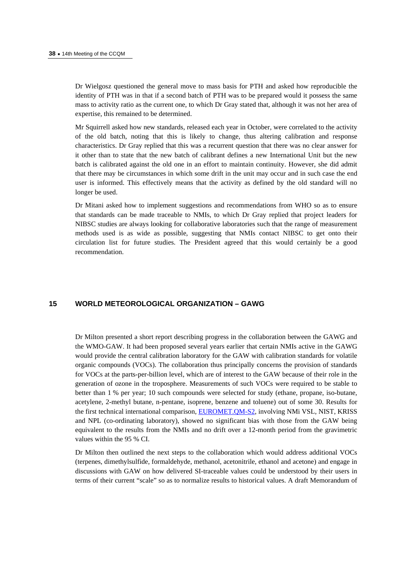Dr Wielgosz questioned the general move to mass basis for PTH and asked how reproducible the identity of PTH was in that if a second batch of PTH was to be prepared would it possess the same mass to activity ratio as the current one, to which Dr Gray stated that, although it was not her area of expertise, this remained to be determined.

Mr Squirrell asked how new standards, released each year in October, were correlated to the activity of the old batch, noting that this is likely to change, thus altering calibration and response characteristics. Dr Gray replied that this was a recurrent question that there was no clear answer for it other than to state that the new batch of calibrant defines a new International Unit but the new batch is calibrated against the old one in an effort to maintain continuity. However, she did admit that there may be circumstances in which some drift in the unit may occur and in such case the end user is informed. This effectively means that the activity as defined by the old standard will no longer be used.

Dr Mitani asked how to implement suggestions and recommendations from WHO so as to ensure that standards can be made traceable to NMIs, to which Dr Gray replied that project leaders for NIBSC studies are always looking for collaborative laboratories such that the range of measurement methods used is as wide as possible, suggesting that NMIs contact NIBSC to get onto their circulation list for future studies. The President agreed that this would certainly be a good recommendation.

# **15 WORLD METEOROLOGICAL ORGANIZATION – GAWG**

Dr Milton presented a short report describing progress in the collaboration between the GAWG and the WMO-GAW. It had been proposed several years earlier that certain NMIs active in the GAWG would provide the central calibration laboratory for the GAW with calibration standards for volatile organic compounds (VOCs). The collaboration thus principally concerns the provision of standards for VOCs at the parts-per-billion level, which are of interest to the GAW because of their role in the generation of ozone in the troposphere. Measurements of such VOCs were required to be stable to better than 1 % per year; 10 such compounds were selected for study (ethane, propane, iso-butane, acetylene, 2-methyl butane, n-pentane, isoprene, benzene and toluene) out of some 30. Results for the first technical international comparis[on, EUROMET.QM-S2, inv](http://kcdb.bipm.org/AppendixB/KCDB_ApB_info.asp?cmp_idy=797&cmp_cod=EUROMET%2EQM%2DS2&page=)olving NMi VSL, NIST, KRISS and NPL (co-ordinating laboratory), showed no significant bias with those from the GAW being equivalent to the results from the NMIs and no drift over a 12-month period from the gravimetric values within the 95 % CI.

Dr Milton then outlined the next steps to the collaboration which would address additional VOCs (terpenes, dimethylsulfide, formaldehyde, methanol, acetonitrile, ethanol and acetone) and engage in discussions with GAW on how delivered SI-traceable values could be understood by their users in terms of their current "scale" so as to normalize results to historical values. A draft Memorandum of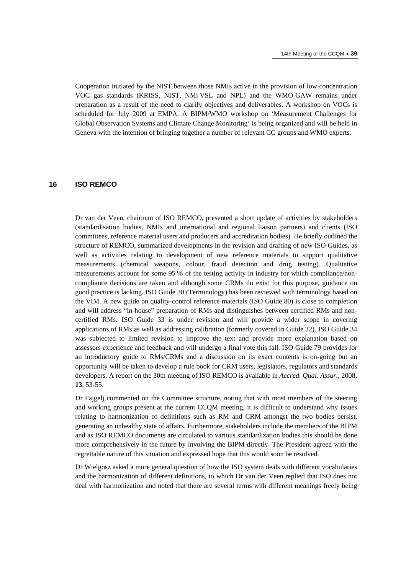Cooperation initiated by the NIST between those NMIs active in the provision of low concentration VOC gas standards (KRISS, NIST, NMi VSL and NPL) and the WMO-GAW remains under preparation as a result of the need to clarify objectives and deliverables. A workshop on VOCs is scheduled for July 2009 at EMPA. A BIPM/WMO workshop on 'Measurement Challenges for Global Observation Systems and Climate Change Monitoring' is being organized and will be held in Geneva with the intention of bringing together a number of relevant CC groups and WMO experts.

# **16 ISO REMCO**

Dr van der Veen, chairman of ISO REMCO, presented a short update of activities by stakeholders (standardisation bodies, NMIs and international and regional liaison partners) and clients (ISO committees, reference material users and producers and accreditation bodies). He briefly outlined the structure of REMCO, summarized developments in the revision and drafting of new ISO Guides, as well as activities relating to development of new reference materials to support qualitative measurements (chemical weapons, colour, fraud detection and drug testing). Qualitative measurements account for some 95 % of the testing activity in industry for which compliance/noncompliance decisions are taken and although some CRMs do exist for this purpose, guidance on good practice is lacking. ISO Guide 30 (Terminology) has been reviewed with terminology based on the VIM. A new guide on quality-control reference materials (ISO Guide 80) is close to completion and will address "in-house" preparation of RMs and distinguishes between certified RMs and noncertified RMs. ISO Guide 33 is under revision and will provide a wider scope in covering applications of RMs as well as addressing calibration (formerly covered in Guide 32). ISO Guide 34 was subjected to limited revision to improve the text and provide more explanation based on assessors experience and feedback and will undergo a final vote this fall. ISO Guide 79 provides for an introductory guide to RMs/CRMs and a discussion on its exact contents is on-going but an opportunity will be taken to develop a rule book for CRM users, legislators, regulators and standards developers. A report on the 30th meeting of ISO REMCO is available in *Accred. Qual. Assur.*, 2008, **13**, 53-55.

Dr Fajgelj commented on the Committee structure, noting that with most members of the steering and working groups present at the current CCQM meeting, it is difficult to understand why issues relating to harmonization of definitions such as RM and CRM amongst the two bodies persist, generating an unhealthy state of affairs. Furthermore, stakeholders include the members of the BIPM and as ISO REMCO documents are circulated to various standardization bodies this should be done more comprehensively in the future by involving the BIPM directly. The President agreed with the regrettable nature of this situation and expressed hope that this would soon be resolved.

Dr Wielgosz asked a more general question of how the ISO system deals with different vocabularies and the harmonization of different definitions, to which Dr van der Veen replied that ISO does not deal with harmonization and noted that there are several terms with different meanings freely being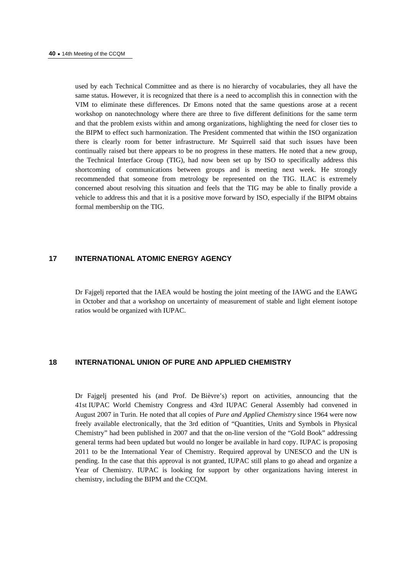used by each Technical Committee and as there is no hierarchy of vocabularies, they all have the same status. However, it is recognized that there is a need to accomplish this in connection with the VIM to eliminate these differences. Dr Emons noted that the same questions arose at a recent workshop on nanotechnology where there are three to five different definitions for the same term and that the problem exists within and among organizations, highlighting the need for closer ties to the BIPM to effect such harmonization. The President commented that within the ISO organization there is clearly room for better infrastructure. Mr Squirrell said that such issues have been continually raised but there appears to be no progress in these matters. He noted that a new group, the Technical Interface Group (TIG), had now been set up by ISO to specifically address this shortcoming of communications between groups and is meeting next week. He strongly recommended that someone from metrology be represented on the TIG. ILAC is extremely concerned about resolving this situation and feels that the TIG may be able to finally provide a vehicle to address this and that it is a positive move forward by ISO, especially if the BIPM obtains formal membership on the TIG.

# **17 INTERNATIONAL ATOMIC ENERGY AGENCY**

Dr Fajgelj reported that the IAEA would be hosting the joint meeting of the IAWG and the EAWG in October and that a workshop on uncertainty of measurement of stable and light element isotope ratios would be organized with IUPAC.

# **18 INTERNATIONAL UNION OF PURE AND APPLIED CHEMISTRY**

Dr Fajgelj presented his (and Prof. De Bièvre's) report on activities, announcing that the 41st IUPAC World Chemistry Congress and 43rd IUPAC General Assembly had convened in August 2007 in Turin. He noted that all copies of *Pure and Applied Chemistry* since 1964 were now freely available electronically, that the 3rd edition of "Quantities, Units and Symbols in Physical Chemistry" had been published in 2007 and that the on-line version of the "Gold Book" addressing general terms had been updated but would no longer be available in hard copy. IUPAC is proposing 2011 to be the International Year of Chemistry. Required approval by UNESCO and the UN is pending. In the case that this approval is not granted, IUPAC still plans to go ahead and organize a Year of Chemistry. IUPAC is looking for support by other organizations having interest in chemistry, including the BIPM and the CCQM.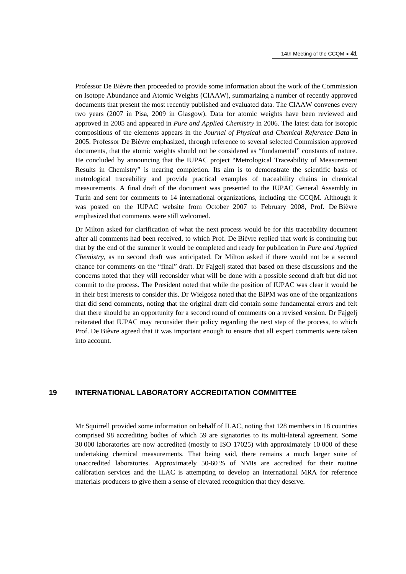Professor De Bièvre then proceeded to provide some information about the work of the Commission on Isotope Abundance and Atomic Weights (CIAAW), summarizing a number of recently approved documents that present the most recently published and evaluated data. The CIAAW convenes every two years (2007 in Pisa, 2009 in Glasgow). Data for atomic weights have been reviewed and approved in 2005 and appeared in *Pure and Applied Chemistry* in 2006. The latest data for isotopic compositions of the elements appears in the *Journal of Physical and Chemical Reference Data* in 2005. Professor De Bièvre emphasized, through reference to several selected Commission approved documents, that the atomic weights should not be considered as "fundamental" constants of nature. He concluded by announcing that the IUPAC project "Metrological Traceability of Measurement Results in Chemistry" is nearing completion. Its aim is to demonstrate the scientific basis of metrological traceability and provide practical examples of traceability chains in chemical measurements. A final draft of the document was presented to the IUPAC General Assembly in Turin and sent for comments to 14 international organizations, including the CCQM. Although it was posted on the IUPAC website from October 2007 to February 2008, Prof. De Bièvre emphasized that comments were still welcomed.

Dr Milton asked for clarification of what the next process would be for this traceability document after all comments had been received, to which Prof. De Bièvre replied that work is continuing but that by the end of the summer it would be completed and ready for publication in *Pure and Applied Chemistry*, as no second draft was anticipated. Dr Milton asked if there would not be a second chance for comments on the "final" draft. Dr Fajgelj stated that based on these discussions and the concerns noted that they will reconsider what will be done with a possible second draft but did not commit to the process. The President noted that while the position of IUPAC was clear it would be in their best interests to consider this. Dr Wielgosz noted that the BIPM was one of the organizations that did send comments, noting that the original draft did contain some fundamental errors and felt that there should be an opportunity for a second round of comments on a revised version. Dr Fajgelj reiterated that IUPAC may reconsider their policy regarding the next step of the process, to which Prof. De Bièvre agreed that it was important enough to ensure that all expert comments were taken into account.

# **19 INTERNATIONAL LABORATORY ACCREDITATION COMMITTEE**

Mr Squirrell provided some information on behalf of ILAC, noting that 128 members in 18 countries comprised 98 accrediting bodies of which 59 are signatories to its multi-lateral agreement. Some 30 000 laboratories are now accredited (mostly to ISO 17025) with approximately 10 000 of these undertaking chemical measurements. That being said, there remains a much larger suite of unaccredited laboratories. Approximately 50-60 % of NMIs are accredited for their routine calibration services and the ILAC is attempting to develop an international MRA for reference materials producers to give them a sense of elevated recognition that they deserve.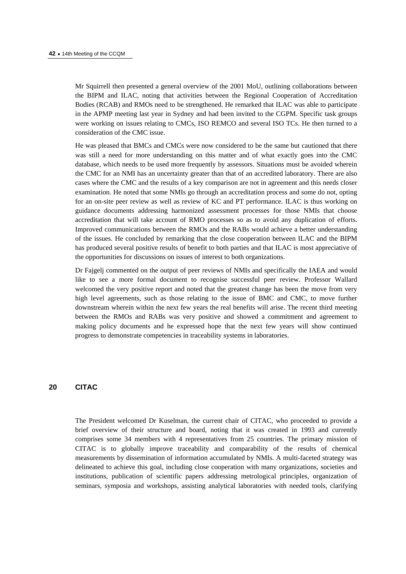Mr Squirrell then presented a general overview of the 2001 MoU, outlining collaborations between the BIPM and ILAC, noting that activities between the Regional Cooperation of Accreditation Bodies (RCAB) and RMOs need to be strengthened. He remarked that ILAC was able to participate in the APMP meeting last year in Sydney and had been invited to the CGPM. Specific task groups were working on issues relating to CMCs, ISO REMCO and several ISO TCs. He then turned to a consideration of the CMC issue.

He was pleased that BMCs and CMCs were now considered to be the same but cautioned that there was still a need for more understanding on this matter and of what exactly goes into the CMC database, which needs to be used more frequently by assessors. Situations must be avoided wherein the CMC for an NMI has an uncertainty greater than that of an accredited laboratory. There are also cases where the CMC and the results of a key comparison are not in agreement and this needs closer examination. He noted that some NMIs go through an accreditation process and some do not, opting for an on-site peer review as well as review of KC and PT performance. ILAC is thus working on guidance documents addressing harmonized assessment processes for those NMIs that choose accreditation that will take account of RMO processes so as to avoid any duplication of efforts. Improved communications between the RMOs and the RABs would achieve a better understanding of the issues. He concluded by remarking that the close cooperation between ILAC and the BIPM has produced several positive results of benefit to both parties and that ILAC is most appreciative of the opportunities for discussions on issues of interest to both organizations.

Dr Fajgelj commented on the output of peer reviews of NMIs and specifically the IAEA and would like to see a more formal document to recognise successful peer review. Professor Wallard welcomed the very positive report and noted that the greatest change has been the move from very high level agreements, such as those relating to the issue of BMC and CMC, to move further downstream wherein within the next few years the real benefits will arise. The recent third meeting between the RMOs and RABs was very positive and showed a commitment and agreement to making policy documents and he expressed hope that the next few years will show continued progress to demonstrate competencies in traceability systems in laboratories.

# **20 CITAC**

The President welcomed Dr Kuselman, the current chair of CITAC, who proceeded to provide a brief overview of their structure and board, noting that it was created in 1993 and currently comprises some 34 members with 4 representatives from 25 countries. The primary mission of CITAC is to globally improve traceability and comparability of the results of chemical measurements by dissemination of information accumulated by NMIs. A multi-faceted strategy was delineated to achieve this goal, including close cooperation with many organizations, societies and institutions, publication of scientific papers addressing metrological principles, organization of seminars, symposia and workshops, assisting analytical laboratories with needed tools, clarifying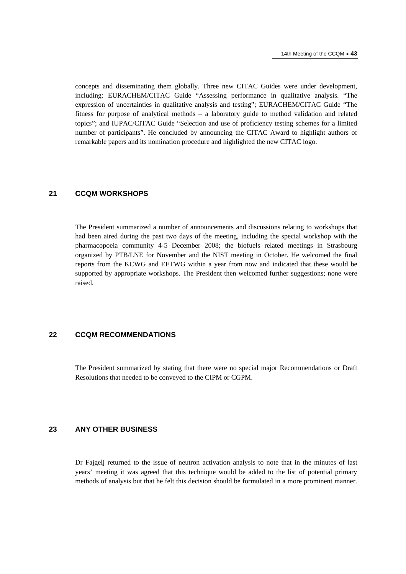concepts and disseminating them globally. Three new CITAC Guides were under development, including: EURACHEM/CITAC Guide "Assessing performance in qualitative analysis. "The expression of uncertainties in qualitative analysis and testing"; EURACHEM/CITAC Guide "The fitness for purpose of analytical methods – a laboratory guide to method validation and related topics"; and IUPAC/CITAC Guide "Selection and use of proficiency testing schemes for a limited number of participants". He concluded by announcing the CITAC Award to highlight authors of remarkable papers and its nomination procedure and highlighted the new CITAC logo.

# **21 CCQM WORKSHOPS**

The President summarized a number of announcements and discussions relating to workshops that had been aired during the past two days of the meeting, including the special workshop with the pharmacopoeia community 4-5 December 2008; the biofuels related meetings in Strasbourg organized by PTB/LNE for November and the NIST meeting in October. He welcomed the final reports from the KCWG and EETWG within a year from now and indicated that these would be supported by appropriate workshops. The President then welcomed further suggestions; none were raised.

# **22 CCQM RECOMMENDATIONS**

The President summarized by stating that there were no special major Recommendations or Draft Resolutions that needed to be conveyed to the CIPM or CGPM.

# **23 ANY OTHER BUSINESS**

Dr Fajgelj returned to the issue of neutron activation analysis to note that in the minutes of last years' meeting it was agreed that this technique would be added to the list of potential primary methods of analysis but that he felt this decision should be formulated in a more prominent manner.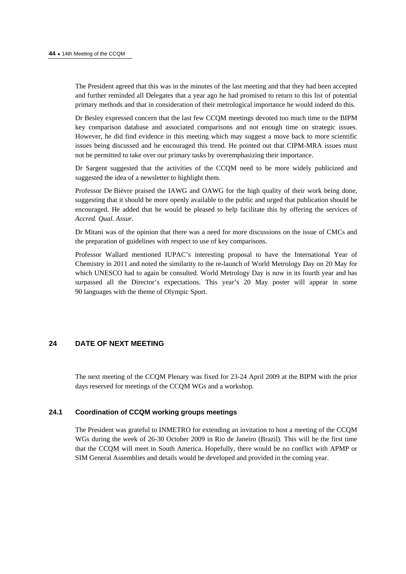The President agreed that this was in the minutes of the last meeting and that they had been accepted and further reminded all Delegates that a year ago he had promised to return to this list of potential primary methods and that in consideration of their metrological importance he would indeed do this.

Dr Besley expressed concern that the last few CCQM meetings devoted too much time to the BIPM key comparison database and associated comparisons and not enough time on strategic issues. However, he did find evidence in this meeting which may suggest a move back to more scientific issues being discussed and he encouraged this trend. He pointed out that CIPM-MRA issues must not be permitted to take over our primary tasks by overemphasizing their importance.

Dr Sargent suggested that the activities of the CCQM need to be more widely publicized and suggested the idea of a newsletter to highlight them.

Professor De Bièvre praised the IAWG and OAWG for the high quality of their work being done, suggesting that it should be more openly available to the public and urged that publication should be encouraged. He added that he would be pleased to help facilitate this by offering the services of *Accred. Qual. Assur*.

Dr Mitani was of the opinion that there was a need for more discussions on the issue of CMCs and the preparation of guidelines with respect to use of key comparisons.

Professor Wallard mentioned IUPAC's interesting proposal to have the International Year of Chemistry in 2011 and noted the similarity to the re-launch of World Metrology Day on 20 May for which UNESCO had to again be consulted. World Metrology Day is now in its fourth year and has surpassed all the Director's expectations. This year's 20 May poster will appear in some 90 languages with the theme of Olympic Sport.

# **24 DATE OF NEXT MEETING**

The next meeting of the CCQM Plenary was fixed for 23-24 April 2009 at the BIPM with the prior days reserved for meetings of the CCQM WGs and a workshop.

#### **24.1 Coordination of CCQM working groups meetings**

The President was grateful to INMETRO for extending an invitation to host a meeting of the CCQM WGs during the week of 26-30 October 2009 in Rio de Janeiro (Brazil). This will be the first time that the CCQM will meet in South America. Hopefully, there would be no conflict with APMP or SIM General Assemblies and details would be developed and provided in the coming year.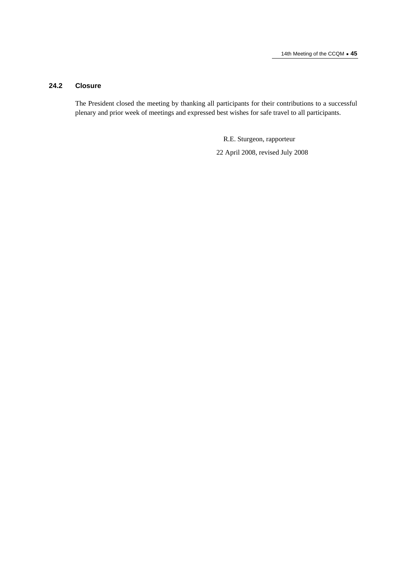# **24.2 Closure**

The President closed the meeting by thanking all participants for their contributions to a successful plenary and prior week of meetings and expressed best wishes for safe travel to all participants.

> R.E. Sturgeon, rapporteur 22 April 2008, revised July 2008